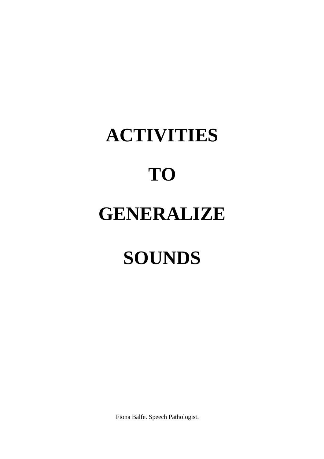Fiona Balfe. Speech Pathologist.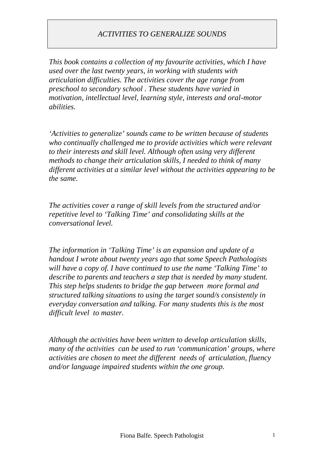*This book contains a collection of my favourite activities, which I have used over the last twenty years, in working with students with articulation difficulties. The activities cover the age range from preschool to secondary school . These students have varied in motivation, intellectual level, learning style, interests and oral-motor abilities.*

*'Activities to generalize' sounds came to be written because of students who continually challenged me to provide activities which were relevant to their interests and skill level. Although often using very different methods to change their articulation skills, I needed to think of many different activities at a similar level without the activities appearing to be the same.*

*The activities cover a range of skill levels from the structured and/or repetitive level to 'Talking Time' and consolidating skills at the conversational level.*

*The information in 'Talking Time' is an expansion and update of a handout I wrote about twenty years ago that some Speech Pathologists will have a copy of. I have continued to use the name 'Talking Time' to describe to parents and teachers a step that is needed by many student. This step helps students to bridge the gap between more formal and structured talking situations to using the target sound/s consistently in everyday conversation and talking. For many students this is the most difficult level to master.*

*Although the activities have been written to develop articulation skills, many of the activities can be used to run 'communication' groups, where activities are chosen to meet the different needs of articulation, fluency and/or language impaired students within the one group.*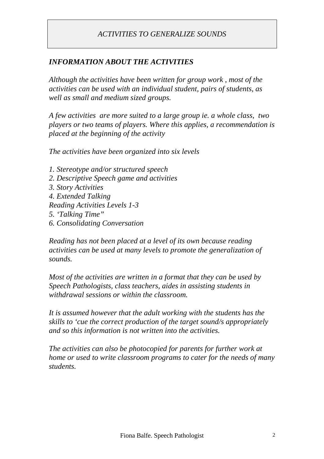# *INFORMATION ABOUT THE ACTIVITIES*

*Although the activities have been written for group work , most of the activities can be used with an individual student, pairs of students, as well as small and medium sized groups.*

*A few activities are more suited to a large group ie. a whole class, two players or two teams of players. Where this applies, a recommendation is placed at the beginning of the activity*

*The activities have been organized into six levels*

- *1. Stereotype and/or structured speech*
- *2. Descriptive Speech game and activities*
- *3. Story Activities*
- *4. Extended Talking*
- *Reading Activities Levels 1-3*
- *5. 'Talking Time"*
- *6. Consolidating Conversation*

*Reading has not been placed at a level of its own because reading activities can be used at many levels to promote the generalization of sounds.*

*Most of the activities are written in a format that they can be used by Speech Pathologists, class teachers, aides in assisting students in withdrawal sessions or within the classroom.*

*It is assumed however that the adult working with the students has the skills to 'cue the correct production of the target sound/s appropriately and so this information is not written into the activities.*

*The activities can also be photocopied for parents for further work at home or used to write classroom programs to cater for the needs of many students.*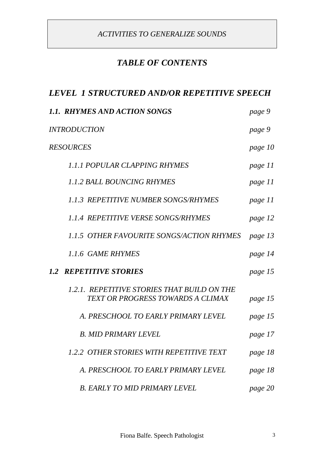# *TABLE OF CONTENTS*

# *LEVEL 1 STRUCTURED AND/OR REPETITIVE SPEECH*

| 1.1. RHYMES AND ACTION SONGS                                                     | page 9  |
|----------------------------------------------------------------------------------|---------|
| <b>INTRODUCTION</b>                                                              | page 9  |
| <b>RESOURCES</b>                                                                 | page 10 |
| 1.1.1 POPULAR CLAPPING RHYMES                                                    | page 11 |
| <b>1.1.2 BALL BOUNCING RHYMES</b>                                                | page 11 |
| <b>1.1.3 REPETITIVE NUMBER SONGS/RHYMES</b>                                      | page 11 |
| <b>1.1.4 REPETITIVE VERSE SONGS/RHYMES</b>                                       | page 12 |
| 1.1.5 OTHER FAVOURITE SONGS/ACTION RHYMES                                        | page 13 |
| 1.1.6 GAME RHYMES                                                                | page 14 |
| <b>1.2 REPETITIVE STORIES</b>                                                    | page 15 |
| 1.2.1. REPETITIVE STORIES THAT BUILD ON THE<br>TEXT OR PROGRESS TOWARDS A CLIMAX | page 15 |
| A. PRESCHOOL TO EARLY PRIMARY LEVEL                                              | page 15 |
| <b>B. MID PRIMARY LEVEL</b>                                                      | page 17 |
| 1.2.2 OTHER STORIES WITH REPETITIVE TEXT                                         | page 18 |
| A. PRESCHOOL TO EARLY PRIMARY LEVEL                                              | page 18 |
| <b>B. EARLY TO MID PRIMARY LEVEL</b>                                             | page 20 |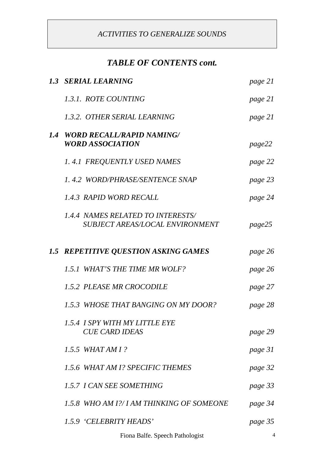# *TABLE OF CONTENTS cont.*

| 1.3 SERIAL LEARNING                                                                | page 21 |
|------------------------------------------------------------------------------------|---------|
| 1.3.1. ROTE COUNTING                                                               | page 21 |
| 1.3.2. OTHER SERIAL LEARNING                                                       | page 21 |
| 1.4 WORD RECALL/RAPID NAMING/<br><b>WORD ASSOCIATION</b>                           | page22  |
| 1.4.1 FREQUENTLY USED NAMES                                                        | page 22 |
| 1.4.2 WORD/PHRASE/SENTENCE SNAP                                                    | page 23 |
| 1.4.3 RAPID WORD RECALL                                                            | page 24 |
| <b>1.4.4 NAMES RELATED TO INTERESTS/</b><br><b>SUBJECT AREAS/LOCAL ENVIRONMENT</b> | page25  |
| 1.5 REPETITIVE QUESTION ASKING GAMES                                               | page 26 |
| 1.5.1 WHAT'S THE TIME MR WOLF?                                                     | page 26 |
| 1.5.2 PLEASE MR CROCODILE                                                          | page 27 |
| 1.5.3 WHOSE THAT BANGING ON MY DOOR?                                               | page 28 |
| 1.5.4 I SPY WITH MY LITTLE EYE<br><b>CUE CARD IDEAS</b>                            | page 29 |
| 1.5.5 WHAT AM I?                                                                   | page 31 |
| 1.5.6 WHAT AM 1? SPECIFIC THEMES                                                   | page 32 |
| 1.5.7 I CAN SEE SOMETHING                                                          | page 33 |
| 1.5.8 WHO AM 1?/ I AM THINKING OF SOMEONE                                          | page 34 |
| 1.5.9 'CELEBRITY HEADS'                                                            | page 35 |
|                                                                                    |         |

Fiona Balfe. Speech Pathologist 4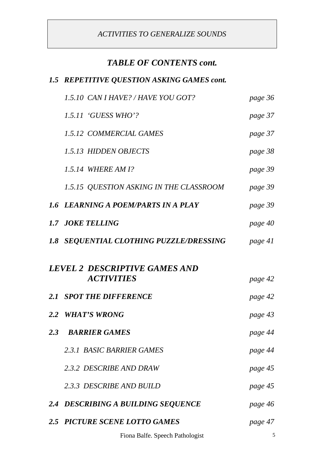# *TABLE OF CONTENTS cont.*

# *1.5 REPETITIVE QUESTION ASKING GAMES cont.*

| 1.5.10 CAN I HAVE? / HAVE YOU GOT?                        | page 36 |
|-----------------------------------------------------------|---------|
| 1.5.11 'GUESS WHO'?                                       | page 37 |
| 1.5.12 COMMERCIAL GAMES                                   | page 37 |
| 1.5.13 HIDDEN OBJECTS                                     | page 38 |
| 1.5.14 WHERE AM 1?                                        | page 39 |
| 1.5.15 QUESTION ASKING IN THE CLASSROOM                   | page 39 |
| 1.6 LEARNING A POEM/PARTS IN A PLAY                       | page 39 |
| 1.7 JOKE TELLING                                          | page 40 |
| <b>1.8 SEQUENTIAL CLOTHING PUZZLE/DRESSING</b>            | page 41 |
|                                                           |         |
| <b>LEVEL 2 DESCRIPTIVE GAMES AND</b><br><b>ACTIVITIES</b> | page 42 |
| 2.1 SPOT THE DIFFERENCE                                   | page 42 |
| 2.2 WHAT'S WRONG                                          | page 43 |
| 2.3 BARRIER GAMES                                         | page 44 |
| 2.3.1 BASIC BARRIER GAMES                                 | page 44 |
| 2.3.2 DESCRIBE AND DRAW                                   | page 45 |
| 2.3.3 DESCRIBE AND BUILD                                  | page 45 |
| 2.4 DESCRIBING A BUILDING SEQUENCE                        | page 46 |
| 2.5 PICTURE SCENE LOTTO GAMES                             | page 47 |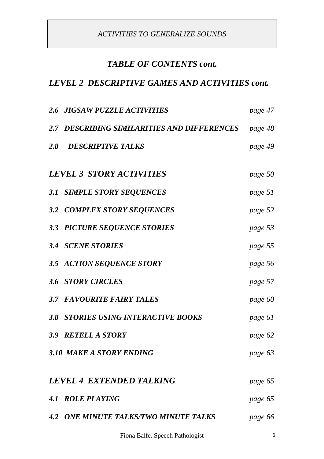# *TABLE OF CONTENTS cont.*

# *LEVEL 2 DESCRIPTIVE GAMES AND ACTIVITIES cont.*

| page 48<br>page 49 |
|--------------------|
|                    |
|                    |
| page 50            |
| page 51            |
| page 52            |
| page 53            |
| page 55            |
| page 56            |
| page 57            |
| page 60            |
| page 61            |
| page 62            |
| page 63            |
| page 65            |
| page 65            |
|                    |
|                    |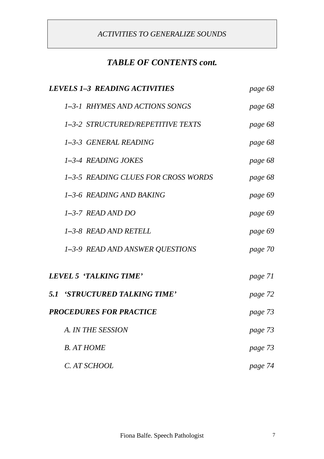# *TABLE OF CONTENTS cont.*

| <b>LEVELS 1-3 READING ACTIVITIES</b> | page 68 |
|--------------------------------------|---------|
| 1-3-1 RHYMES AND ACTIONS SONGS       | page 68 |
| 1-3-2 STRUCTURED/REPETITIVE TEXTS    | page 68 |
| 1-3-3 GENERAL READING                | page 68 |
| 1-3-4 READING JOKES                  | page 68 |
| 1-3-5 READING CLUES FOR CROSS WORDS  | page 68 |
| 1-3-6 READING AND BAKING             | page 69 |
| $1-3-7$ READ AND DO                  | page 69 |
| 1-3-8 READ AND RETELL                | page 69 |
| 1-3-9 READ AND ANSWER QUESTIONS      | page 70 |
| LEVEL 5 'TALKING TIME'               | page 71 |
| <b>5.1 'STRUCTURED TALKING TIME'</b> | page 72 |
| <b>PROCEDURES FOR PRACTICE</b>       | page 73 |
| A. IN THE SESSION                    | page 73 |
| <b>B.</b> AT HOME                    | page 73 |
| C. AT SCHOOL                         | page 74 |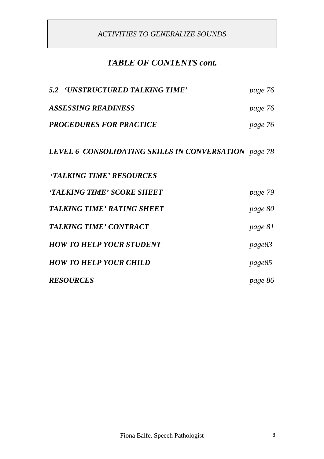# *TABLE OF CONTENTS cont.*

| 5.2 'UNSTRUCTURED TALKING TIME'                      | page 76 |
|------------------------------------------------------|---------|
| <b>ASSESSING READINESS</b>                           | page 76 |
| <b>PROCEDURES FOR PRACTICE</b>                       | page 76 |
| LEVEL 6 CONSOLIDATING SKILLS IN CONVERSATION page 78 |         |
| <b>'TALKING TIME' RESOURCES</b>                      |         |
| 'TALKING TIME' SCORE SHEET                           | page 79 |
| <b>TALKING TIME' RATING SHEET</b>                    | page 80 |
| <b>TALKING TIME' CONTRACT</b>                        | page 81 |
| <b>HOW TO HELP YOUR STUDENT</b>                      | page83  |
| <b>HOW TO HELP YOUR CHILD</b>                        | page85  |
| <b>RESOURCES</b>                                     | page 86 |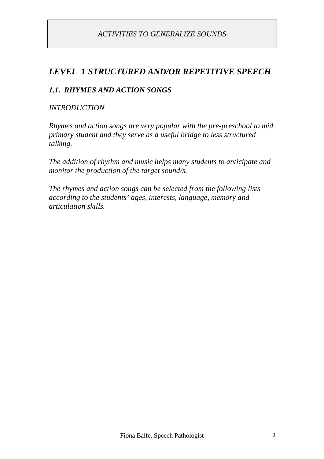# *LEVEL 1 STRUCTURED AND/OR REPETITIVE SPEECH*

#### *1.1. RHYMES AND ACTION SONGS*

#### *INTRODUCTION*

*Rhymes and action songs are very popular with the pre-preschool to mid primary student and they serve as a useful bridge to less structured talking.*

*The addition of rhythm and music helps many students to anticipate and monitor the production of the target sound/s.*

*The rhymes and action songs can be selected from the following lists according to the students' ages, interests, language, memory and articulation skills.*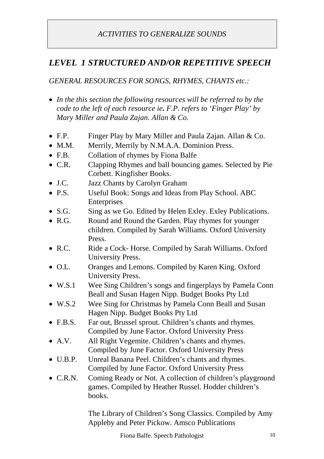# *LEVEL 1 STRUCTURED AND/OR REPETITIVE SPEECH*

*GENERAL RESOURCES FOR SONGS, RHYMES, CHANTS etc.:*

- *In the this section the following resources will be referred to by the code to the left of each resource ie. F.P. refers to 'Finger Play' by Mary Miller and Paula Zajan. Allan & Co.*
- F.P. Finger Play by Mary Miller and Paula Zajan. Allan & Co.
- M.M. Merrily, Merrily by N.M.A.A. Dominion Press.
- F.B. Collation of rhymes by Fiona Balfe
- C.R. Clapping Rhymes and ball bouncing games. Selected by Pie Corbett. Kingfisher Books.
- J.C. Jazz Chants by Carolyn Graham
- P.S. Useful Book: Songs and Ideas from Play School. ABC Enterprises
- S.G. Sing as we Go. Edited by Helen Exley. Exley Publications.
- R.G. Round and Round the Garden. Play rhymes for younger children. Compiled by Sarah Williams. Oxford University Press.
- R.C. Ride a Cock- Horse. Compiled by Sarah Williams. Oxford University Press.
- O.L. Oranges and Lemons. Compiled by Karen King. Oxford University Press.
- W.S.1 Wee Sing Children's songs and fingerplays by Pamela Conn Beall and Susan Hagen Nipp. Budget Books Pty Ltd
- W.S.2 Wee Sing for Christmas by Pamela Conn Beall and Susan Hagen Nipp. Budget Books Pty Ltd
- F.B.S. Far out, Brussel sprout. Children's chants and rhymes. Compiled by June Factor. Oxford University Press
- A.V. All Right Vegemite. Children's chants and rhymes. Compiled by June Factor. Oxford University Press
- U.B.P. Unreal Banana Peel. Children's chants and rhymes. Compiled by June Factor. Oxford University Press
- C.R.N. Coming Ready or Not. A collection of children's playground games. Compiled by Heather Russel. Hodder children's books.

The Library of Children's Song Classics. Compiled by Amy Appleby and Peter Pickow. Amsco Publications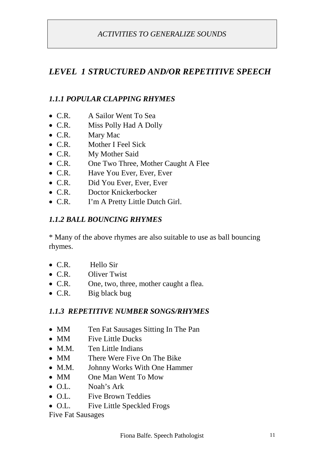# *LEVEL 1 STRUCTURED AND/OR REPETITIVE SPEECH*

## *1.1.1 POPULAR CLAPPING RHYMES*

- C.R. A Sailor Went To Sea
- C.R. Miss Polly Had A Dolly
- C.R. Mary Mac
- C.R. Mother I Feel Sick
- C.R. My Mother Said
- C.R. One Two Three, Mother Caught A Flee
- C.R. Have You Ever, Ever, Ever
- C.R. Did You Ever, Ever, Ever
- C.R. Doctor Knickerbocker
- C.R. I'm A Pretty Little Dutch Girl.

#### *1.1.2 BALL BOUNCING RHYMES*

\* Many of the above rhymes are also suitable to use as ball bouncing rhymes.

- C.R. Hello Sir
- C.R. Oliver Twist
- C.R. One, two, three, mother caught a flea.
- C.R. Big black bug

#### *1.1.3 REPETITIVE NUMBER SONGS/RHYMES*

- MM Ten Fat Sausages Sitting In The Pan
- MM Five Little Ducks
- M.M. Ten Little Indians
- MM There Were Five On The Bike
- M.M. Johnny Works With One Hammer
- MM One Man Went To Mow
- O.L. Noah's Ark
- O.L. Five Brown Teddies
- O.L. Five Little Speckled Frogs

Five Fat Sausages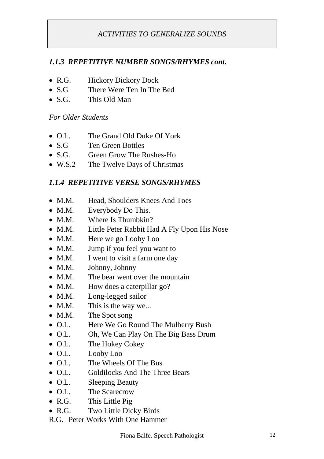#### *1.1.3 REPETITIVE NUMBER SONGS/RHYMES cont.*

- R.G. Hickory Dickory Dock
- S.G There Were Ten In The Bed
- S.G. This Old Man

*For Older Students*

- O.L. The Grand Old Duke Of York
- S.G Ten Green Bottles
- S.G. Green Grow The Rushes-Ho
- W.S.2 The Twelve Days of Christmas

#### *1.1.4 REPETITIVE VERSE SONGS/RHYMES*

- M.M. Head, Shoulders Knees And Toes
- M.M. Everybody Do This.
- M.M. Where Is Thumbkin?
- M.M. Little Peter Rabbit Had A Fly Upon His Nose
- M.M. Here we go Looby Loo
- M.M. Jump if you feel you want to
- M.M. I went to visit a farm one day
- M.M. Johnny, Johnny
- M.M. The bear went over the mountain
- M.M. How does a caterpillar go?
- M.M. Long-legged sailor
- M.M. This is the way we...
- M.M. The Spot song
- O.L. Here We Go Round The Mulberry Bush
- O.L. Oh, We Can Play On The Big Bass Drum
- O.L. The Hokey Cokey
- O.L. Looby Loo
- O.L. The Wheels Of The Bus
- O.L. Goldilocks And The Three Bears
- O.L. Sleeping Beauty
- O.L. The Scarecrow
- R.G. This Little Pig
- R.G. Two Little Dicky Birds
- R.G. Peter Works With One Hammer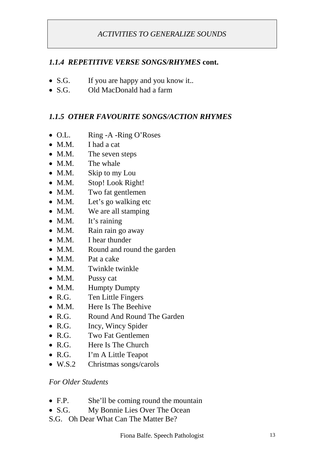#### *1.1.4 REPETITIVE VERSE SONGS/RHYMES* **cont.**

- S.G. If you are happy and you know it..
- S.G. Old MacDonald had a farm

#### *1.1.5 OTHER FAVOURITE SONGS/ACTION RHYMES*

- O.L. Ring -A -Ring O'Roses
- M.M. I had a cat
- M.M. The seven steps
- M.M. The whale
- M.M. Skip to my Lou
- M.M. Stop! Look Right!
- M.M. Two fat gentlemen
- M.M. Let's go walking etc
- M.M. We are all stamping
- M.M. It's raining
- M.M. Rain rain go away
- M.M. I hear thunder
- M.M. Round and round the garden
- M.M. Pat a cake
- M.M. Twinkle twinkle
- M.M. Pussy cat
- M.M. Humpty Dumpty
- R.G. Ten Little Fingers
- M.M. Here Is The Beehive
- R.G. Round And Round The Garden
- R.G. Incy, Wincy Spider
- R.G. Two Fat Gentlemen
- R.G. Here Is The Church
- R.G. I'm A Little Teapot
- W.S.2 Christmas songs/carols

#### *For Older Students*

- F.P. She'll be coming round the mountain
- S.G. My Bonnie Lies Over The Ocean
- S.G. Oh Dear What Can The Matter Be?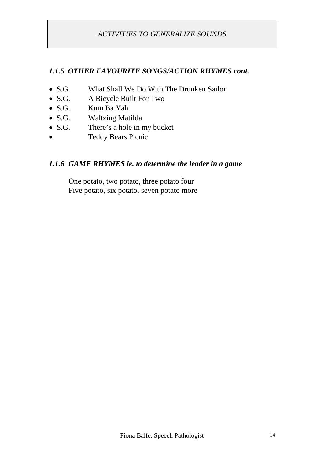#### *1.1.5 OTHER FAVOURITE SONGS/ACTION RHYMES cont.*

- S.G. What Shall We Do With The Drunken Sailor
- S.G. A Bicycle Built For Two
- S.G. Kum Ba Yah
- S.G. Waltzing Matilda
- S.G. There's a hole in my bucket
- Teddy Bears Picnic

#### *1.1.6 GAME RHYMES ie. to determine the leader in a game*

One potato, two potato, three potato four Five potato, six potato, seven potato more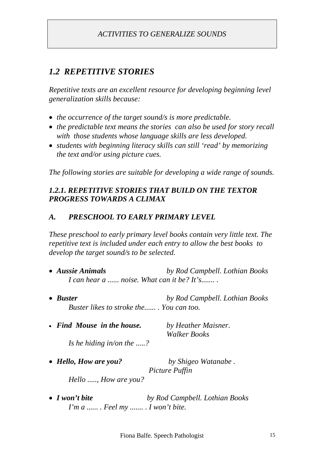# *1.2 REPETITIVE STORIES*

*Repetitive texts are an excellent resource for developing beginning level generalization skills because:*

- *the occurrence of the target sound/s is more predictable.*
- *the predictable text means the stories can also be used for story recall with those students whose language skills are less developed.*
- *students with beginning literacy skills can still 'read' by memorizing the text and/or using picture cues.*

*The following stories are suitable for developing a wide range of sounds.*

## *1.2.1. REPETITIVE STORIES THAT BUILD ON THE TEXTOR PROGRESS TOWARDS A CLIMAX*

## *A. PRESCHOOL TO EARLY PRIMARY LEVEL*

*These preschool to early primary level books contain very little text. The repetitive text is included under each entry to allow the best books to develop the target sound/s to be selected.*

- *Aussie Animals by Rod Campbell. Lothian Books I can hear a ...... noise. What can it be? It's....... .*
- *Buster by Rod Campbell. Lothian Books Buster likes to stroke the...... . You can too.*
- *Find Mouse in the house. by Heather Maisner.*

*Walker Books*

*Is he hiding in/on the .....?*

- *Hello, How are you? by Shigeo Watanabe . Picture Puffin Hello ....., How are you?*
- *I won't bite by Rod Campbell. Lothian Books I'm a ...... . Feel my ....... . I won't bite.*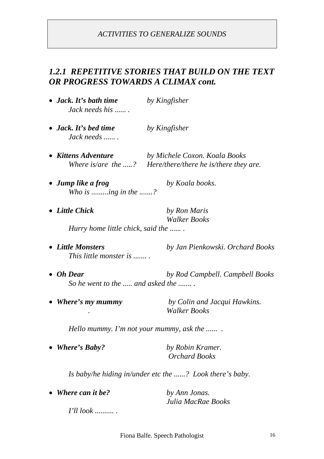# *1.2.1 REPETITIVE STORIES THAT BUILD ON THE TEXT OR PROGRESS TOWARDS A CLIMAX cont.*

| • Jack. It's bath time<br>Jack needs his              | by Kingfisher                                                                              |
|-------------------------------------------------------|--------------------------------------------------------------------------------------------|
| • Jack. It's bed time<br>Jack needs                   | by Kingfisher                                                                              |
| • Kittens Adventure                                   | by Michele Coxon. Koala Books<br>Where is/are the ? Here/there/there he is/there they are. |
| • Jump like a frog<br>Who is ing in the ?             | by Koala books.                                                                            |
| • Little Chick                                        | by Ron Maris<br><b>Walker Books</b>                                                        |
| Hurry home little chick, said the                     |                                                                                            |
| • Little Monsters<br>This little monster is           | by Jan Pienkowski. Orchard Books                                                           |
| $\bullet$ Oh Dear<br>So he went to the  and asked the | by Rod Campbell. Campbell Books                                                            |
| • Where's my mummy                                    | by Colin and Jacqui Hawkins.<br><b>Walker Books</b>                                        |
|                                                       | Hello mummy. I'm not your mummy, ask the                                                   |
| <b>Where's Baby?</b>                                  | by Robin Kramer.<br><b>Orchard Books</b>                                                   |
|                                                       | Is baby/he hiding in/under etc the ? Look there's baby.                                    |
| <b>Where can it be?</b>                               | by Ann Jonas.                                                                              |

*I'll look .......... .*

Fiona Balfe. Speech Pathologist 16

*Julia MacRae Books*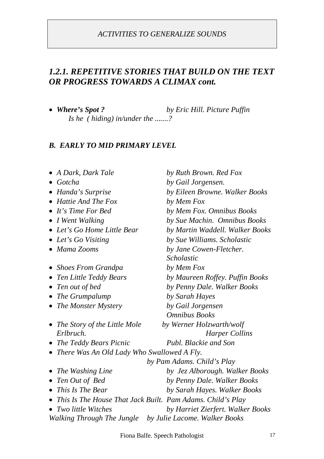# *1.2.1. REPETITIVE STORIES THAT BUILD ON THE TEXT OR PROGRESS TOWARDS A CLIMAX cont.*

 *Where's Spot ? by Eric Hill. Picture Puffin Is he ( hiding) in/under the .......?*

#### *B. EARLY TO MID PRIMARY LEVEL*

| A Dark, Dark Tale                            | by Ruth Brown. Red Fox                                     |
|----------------------------------------------|------------------------------------------------------------|
| $\bullet$ Gotcha                             | by Gail Jorgensen.                                         |
| • Handa's Surprise                           | by Eileen Browne. Walker Books                             |
| $\bullet$ Hattie And The Fox                 | by Mem Fox                                                 |
| $\bullet$ It's Time For Bed                  | by Mem Fox. Omnibus Books                                  |
| • I Went Walking                             | by Sue Machin. Omnibus Books                               |
| • Let's Go Home Little Bear                  | by Martin Waddell. Walker Books                            |
| • Let's Go Visiting                          | by Sue Williams. Scholastic                                |
| • Mama Zooms                                 | by Jane Cowen-Fletcher.                                    |
|                                              | Scholastic                                                 |
| <b>Shoes From Grandpa</b>                    | by Mem Fox                                                 |
| Ten Little Teddy Bears<br>$\bullet$          | by Maureen Roffey. Puffin Books                            |
| Ten out of bed                               | by Penny Dale. Walker Books                                |
| The Grumpalump                               | by Sarah Hayes                                             |
| • The Monster Mystery                        | by Gail Jorgensen                                          |
|                                              | <b>Omnibus Books</b>                                       |
| • The Story of the Little Mole               | by Werner Holzwarth/wolf                                   |
| Erlbruch.                                    | <b>Harper Collins</b>                                      |
| The Teddy Bears Picnic                       | Publ. Blackie and Son                                      |
| • There Was An Old Lady Who Swallowed A Fly. |                                                            |
|                                              | by Pam Adams. Child's Play                                 |
| The Washing Line                             | by Jez Alborough. Walker Books                             |
| Ten Out of Bed<br>$\bullet$                  | by Penny Dale. Walker Books                                |
| • This Is The Bear                           | by Sarah Hayes. Walker Books                               |
|                                              | This Is The House That Jack Built. Pam Adams. Child's Play |
| <b>Two little Witches</b>                    | by Harriet Zierfert. Walker Books                          |
| Walking Through The Jungle                   | by Julie Lacome. Walker Books                              |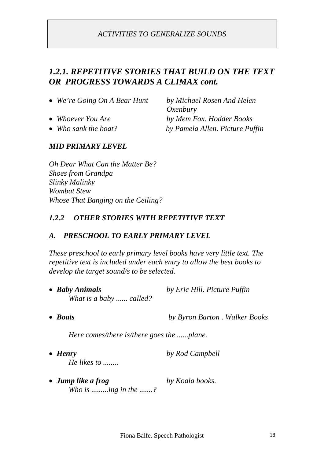# *1.2.1. REPETITIVE STORIES THAT BUILD ON THE TEXT OR PROGRESS TOWARDS A CLIMAX cont.*

| $\bullet$ We're Going On A Bear Hunt | by Michael Rosen And Helen      |
|--------------------------------------|---------------------------------|
|                                      | Oxenbury                        |
| • Whoever You Are                    | by Mem Fox. Hodder Books        |
| • Who sank the boat?                 | by Pamela Allen. Picture Puffin |
| <b>MID PRIMARY LEVEL</b>             |                                 |

*Oh Dear What Can the Matter Be? Shoes from Grandpa Slinky Malinky Wombat Stew Whose That Banging on the Ceiling?*

#### *1.2.2 OTHER STORIES WITH REPETITIVE TEXT*

#### *A. PRESCHOOL TO EARLY PRIMARY LEVEL*

*These preschool to early primary level books have very little text. The repetitive text is included under each entry to allow the best books to develop the target sound/s to be selected.*

- *Baby Animals by Eric Hill. Picture Puffin What is a baby ...... called?*
- *Boats by Byron Barton . Walker Books*

*Here comes/there is/there goes the ......plane.*

- *Henry by Rod Campbell He likes to ........*
- *Jump like a frog by Koala books. Who is .........ing in the .......?*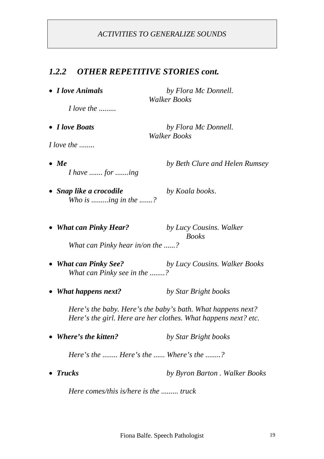#### *1.2.2 OTHER REPETITIVE STORIES cont.*

 *I love Animals by Flora Mc Donnell. Walker Books*

 *I love Boats by Flora Mc Donnell. Walker Books*

*I love the ........*

 *Me by Beth Clure and Helen Rumsey I have ....... for .......ing*

*I love the .........*

 *Snap like a crocodile by Koala books*. *Who is .........ing in the .......?*

 *What can Pinky Hear? by Lucy Cousins. Walker Books What can Pinky hear in/on the ......?*

- *What can Pinky See? by Lucy Cousins. Walker Books What can Pinky see in the ........?*
- *What happens next? by Star Bright books*

*Here's the baby. Here's the baby's bath. What happens next? Here's the girl. Here are her clothes. What happens next? etc.*

*Where's the kitten? by Star Bright books*

*Here's the ........ Here's the ...... Where's the ........?*

*Trucks by Byron Barton . Walker Books*

*Here comes/this is/here is the ......... truck*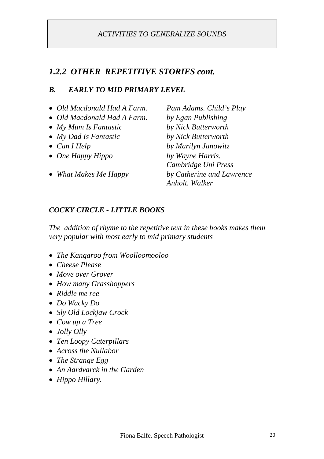## *1.2.2 OTHER REPETITIVE STORIES cont.*

#### *B. EARLY TO MID PRIMARY LEVEL*

- *Old Macdonald Had A Farm. Pam Adams. Child's Play*
- *Old Macdonald Had A Farm. by Egan Publishing*
- *My Mum Is Fantastic by Nick Butterworth*
- *My Dad Is Fantastic by Nick Butterworth*
- 
- *One Happy Hippo by Wayne Harris.*
- 

 *Can I Help by Marilyn Janowitz Cambridge Uni Press What Makes Me Happy by Catherine and Lawrence Anholt. Walker*

#### *COCKY CIRCLE - LITTLE BOOKS*

*The addition of rhyme to the repetitive text in these books makes them very popular with most early to mid primary students*

- *The Kangaroo from Woolloomooloo*
- *Cheese Please*
- *Move over Grover*
- *How many Grasshoppers*
- *Riddle me ree*
- *Do Wacky Do*
- *Sly Old Lockjaw Crock*
- *Cow up a Tree*
- *Jolly Olly*
- *Ten Loopy Caterpillars*
- *Across the Nullabor*
- *The Strange Egg*
- *An Aardvarck in the Garden*
- *Hippo Hillary.*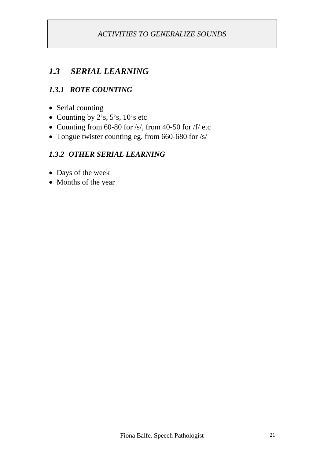# *1.3 SERIAL LEARNING*

# *1.3.1 ROTE COUNTING*

- Serial counting
- Counting by  $2's$ ,  $5's$ ,  $10's$  etc
- Counting from 60-80 for /s/, from 40-50 for /f/ etc
- Tongue twister counting eg. from 660-680 for /s/

#### *1.3.2 OTHER SERIAL LEARNING*

- Days of the week
- Months of the year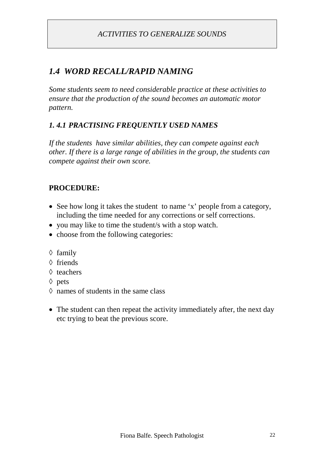# *1.4 WORD RECALL/RAPID NAMING*

*Some students seem to need considerable practice at these activities to ensure that the production of the sound becomes an automatic motor pattern.*

# *1. 4.1 PRACTISING FREQUENTLY USED NAMES*

*If the students have similar abilities, they can compete against each other. If there is a large range of abilities in the group, the students can compete against their own score.*

# **PROCEDURE:**

- See how long it takes the student to name 'x' people from a category, including the time needed for any corrections or self corrections.
- you may like to time the student/s with a stop watch.
- choose from the following categories:
- $\Diamond$  family
- $\Diamond$  friends
- $\Diamond$  teachers
- $\Diamond$  pets
- $\Diamond$  names of students in the same class
- The student can then repeat the activity immediately after, the next day etc trying to beat the previous score.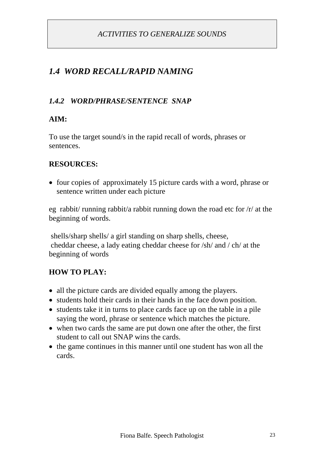# *1.4 WORD RECALL/RAPID NAMING*

## *1.4.2 WORD/PHRASE/SENTENCE SNAP*

# **AIM:**

To use the target sound/s in the rapid recall of words, phrases or sentences.

## **RESOURCES:**

• four copies of approximately 15 picture cards with a word, phrase or sentence written under each picture

eg rabbit/ running rabbit/a rabbit running down the road etc for /r/ at the beginning of words.

shells/sharp shells/ a girl standing on sharp shells, cheese, cheddar cheese, a lady eating cheddar cheese for /sh/ and / ch/ at the beginning of words

# **HOW TO PLAY:**

- all the picture cards are divided equally among the players.
- students hold their cards in their hands in the face down position.
- students take it in turns to place cards face up on the table in a pile saying the word, phrase or sentence which matches the picture.
- when two cards the same are put down one after the other, the first student to call out SNAP wins the cards.
- the game continues in this manner until one student has won all the cards.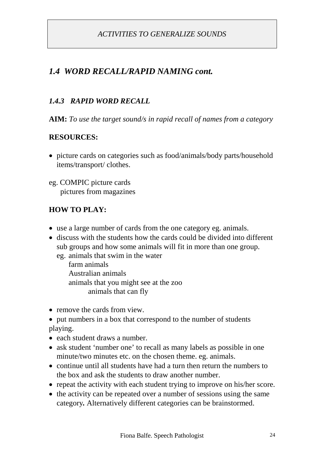# *1.4 WORD RECALL/RAPID NAMING cont.*

#### *1.4.3 RAPID WORD RECALL*

**AIM:** *To use the target sound/s in rapid recall of names from a category*

#### **RESOURCES:**

 picture cards on categories such as food/animals/body parts/household items/transport/ clothes.

eg. COMPIC picture cards pictures from magazines

#### **HOW TO PLAY:**

- use a large number of cards from the one category eg. animals.
- discuss with the students how the cards could be divided into different sub groups and how some animals will fit in more than one group.

eg. animals that swim in the water

farm animals Australian animals animals that you might see at the zoo animals that can fly

- remove the cards from view.
- put numbers in a box that correspond to the number of students playing.
- each student draws a number.
- ask student 'number one' to recall as many labels as possible in one minute/two minutes etc. on the chosen theme. eg. animals.
- continue until all students have had a turn then return the numbers to the box and ask the students to draw another number.
- repeat the activity with each student trying to improve on his/her score.
- the activity can be repeated over a number of sessions using the same category*.* Alternatively different categories can be brainstormed.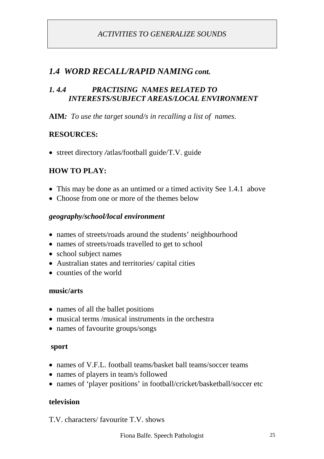# *1.4 WORD RECALL/RAPID NAMING cont.*

#### *1. 4.4 PRACTISING NAMES RELATED TO INTERESTS/SUBJECT AREAS/LOCAL ENVIRONMENT*

**AIM***: To use the target sound/s in recalling a list of names.*

#### **RESOURCES:**

street directory */*atlas/football guide/T.V. guide

# **HOW TO PLAY:**

- This may be done as an untimed or a timed activity See 1.4.1 above
- Choose from one or more of the themes below

#### *geography/school/local environment*

- names of streets/roads around the students' neighbourhood
- names of streets/roads travelled to get to school
- school subject names
- Australian states and territories/ capital cities
- counties of the world

#### **music/arts**

- names of all the ballet positions
- musical terms /musical instruments in the orchestra
- names of favourite groups/songs

#### **sport**

- names of V.F.L. football teams/basket ball teams/soccer teams
- names of players in team/s followed
- names of 'player positions' in football/cricket/basketball/soccer etc

#### **television**

T.V. characters/ favourite T.V. shows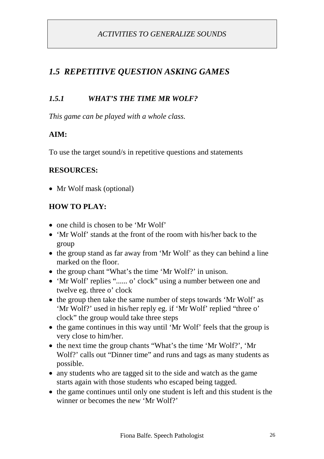# *1.5.1 WHAT'S THE TIME MR WOLF?*

*This game can be played with a whole class.*

## **AIM:**

To use the target sound/s in repetitive questions and statements

#### **RESOURCES:**

• Mr Wolf mask (optional)

## **HOW TO PLAY:**

- one child is chosen to be 'Mr Wolf'
- 'Mr Wolf' stands at the front of the room with his/her back to the group
- the group stand as far away from 'Mr Wolf' as they can behind a line marked on the floor.
- the group chant "What's the time 'Mr Wolf?' in unison.
- 'Mr Wolf' replies "...... o' clock" using a number between one and twelve eg. three o' clock
- the group then take the same number of steps towards 'Mr Wolf' as 'Mr Wolf?' used in his/her reply eg. if 'Mr Wolf' replied "three o' clock" the group would take three steps
- the game continues in this way until 'Mr Wolf' feels that the group is very close to him/her.
- the next time the group chants "What's the time 'Mr Wolf?', 'Mr Wolf?' calls out "Dinner time" and runs and tags as many students as possible.
- any students who are tagged sit to the side and watch as the game starts again with those students who escaped being tagged.
- the game continues until only one student is left and this student is the winner or becomes the new 'Mr Wolf?'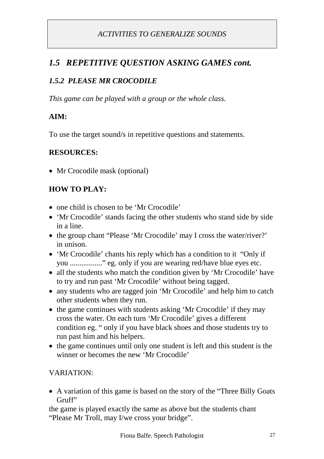# *1.5 REPETITIVE QUESTION ASKING GAMES cont.*

# *1.5.2 PLEASE MR CROCODILE*

*This game can be played with a group or the whole class.*

#### **AIM:**

To use the target sound/s in repetitive questions and statements.

#### **RESOURCES:**

• Mr Crocodile mask (optional)

# **HOW TO PLAY:**

- one child is chosen to be 'Mr Crocodile'
- 'Mr Crocodile' stands facing the other students who stand side by side in a line.
- the group chant "Please 'Mr Crocodile' may I cross the water/river?' in unison.
- 'Mr Crocodile' chants his reply which has a condition to it "Only if you ................." eg. only if you are wearing red/have blue eyes etc.
- all the students who match the condition given by 'Mr Crocodile' have to try and run past 'Mr Crocodile' without being tagged.
- any students who are tagged join 'Mr Crocodile' and help him to catch other students when they run.
- the game continues with students asking 'Mr Crocodile' if they may cross the water. On each turn 'Mr Crocodile' gives a different condition eg. " only if you have black shoes and those students try to run past him and his helpers.
- the game continues until only one student is left and this student is the winner or becomes the new 'Mr Crocodile'

#### VARIATION:

 A variation of this game is based on the story of the "Three Billy Goats Gruff"

the game is played exactly the same as above but the students chant "Please Mr Troll, may I/we cross your bridge".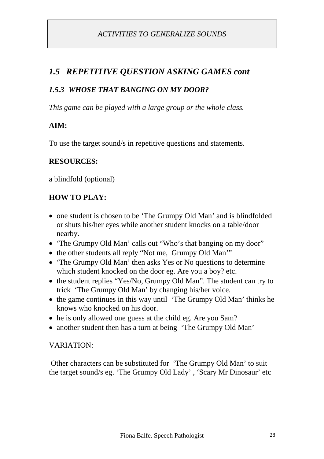# *1.5.3 WHOSE THAT BANGING ON MY DOOR?*

*This game can be played with a large group or the whole class.*

# **AIM:**

To use the target sound/s in repetitive questions and statements.

## **RESOURCES:**

a blindfold (optional)

# **HOW TO PLAY:**

- one student is chosen to be 'The Grumpy Old Man' and is blindfolded or shuts his/her eyes while another student knocks on a table/door nearby.
- 'The Grumpy Old Man' calls out "Who's that banging on my door"
- the other students all reply "Not me, Grumpy Old Man"
- 'The Grumpy Old Man' then asks Yes or No questions to determine which student knocked on the door eg. Are you a boy? etc.
- the student replies "Yes/No, Grumpy Old Man". The student can try to trick 'The Grumpy Old Man' by changing his/her voice.
- the game continues in this way until 'The Grumpy Old Man' thinks he knows who knocked on his door.
- he is only allowed one guess at the child eg. Are you Sam?
- another student then has a turn at being 'The Grumpy Old Man'

## VARIATION:

Other characters can be substituted for 'The Grumpy Old Man' to suit the target sound/s eg. 'The Grumpy Old Lady' , 'Scary Mr Dinosaur' etc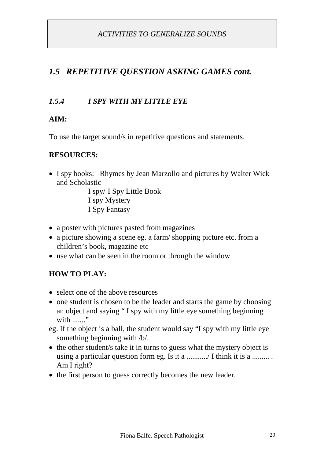# *1.5.4 I SPY WITH MY LITTLE EYE*

# **AIM:**

To use the target sound/s in repetitive questions and statements.

#### **RESOURCES:**

• I spy books: Rhymes by Jean Marzollo and pictures by Walter Wick and Scholastic

> I spy/ I Spy Little Book I spy Mystery I Spy Fantasy

- a poster with pictures pasted from magazines
- a picture showing a scene eg. a farm/ shopping picture etc. from a children's book, magazine etc
- use what can be seen in the room or through the window

# **HOW TO PLAY:**

- select one of the above resources
- one student is chosen to be the leader and starts the game by choosing an object and saying " I spy with my little eye something beginning with "
- eg. If the object is a ball, the student would say "I spy with my little eye something beginning with /b/.
- the other student/s take it in turns to guess what the mystery object is using a particular question form eg. Is it a .........../ I think it is a ......... . Am I right?
- the first person to guess correctly becomes the new leader.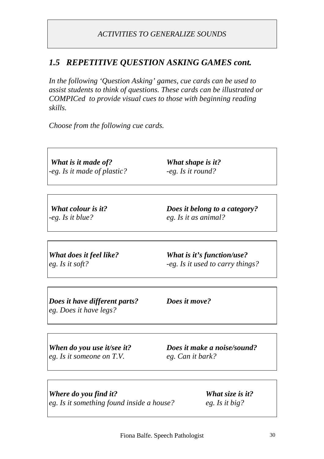*In the following 'Question Asking' games, cue cards can be used to assist students to think of questions. These cards can be illustrated or COMPICed to provide visual cues to those with beginning reading skills.*

*Choose from the following cue cards.*

*What is it made of? What shape is it? -eg. Is it made of plastic? -eg. Is it round?*

*What colour is it? Does it belong to a category? -eg. Is it blue? eg. Is it as animal?*

*What does it feel like? What is it's function/use? eg. Is it soft? -eg. Is it used to carry things?*

*Does it have different parts? Does it move? eg. Does it have legs?*

*eg. Is it someone on T.V. eg. Can it bark?*

*When do you use it/see it? Does it make a noise/sound?*

*Where do you find it? What size is it? eg. Is it something found inside a house? eg. Is it big?*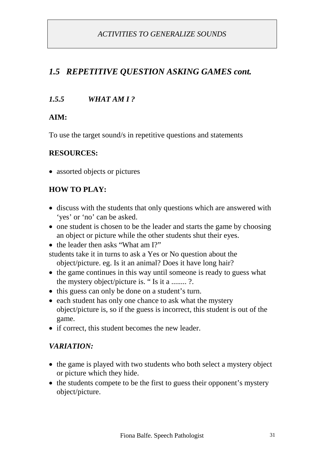# *1.5.5 WHAT AM I ?*

## **AIM:**

To use the target sound/s in repetitive questions and statements

#### **RESOURCES:**

• assorted objects or pictures

# **HOW TO PLAY:**

- discuss with the students that only questions which are answered with 'yes' or 'no' can be asked.
- one student is chosen to be the leader and starts the game by choosing an object or picture while the other students shut their eyes.
- the leader then asks "What am I?"

students take it in turns to ask a Yes or No question about the object/picture. eg. Is it an animal? Does it have long hair?

- the game continues in this way until someone is ready to guess what the mystery object/picture is. " Is it a ........ ?.
- this guess can only be done on a student's turn.
- each student has only one chance to ask what the mystery object/picture is, so if the guess is incorrect, this student is out of the game.
- if correct, this student becomes the new leader.

#### *VARIATION:*

- the game is played with two students who both select a mystery object or picture which they hide.
- the students compete to be the first to guess their opponent's mystery object/picture.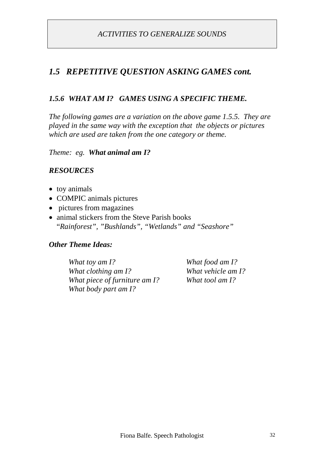# *1.5.6 WHAT AM I? GAMES USING A SPECIFIC THEME.*

*The following games are a variation on the above game 1.5.5. They are played in the same way with the exception that the objects or pictures which are used are taken from the one category or theme.*

*Theme: eg. What animal am I?*

#### *RESOURCES*

- toy animals
- COMPIC animals pictures
- pictures from magazines
- animal stickers from the Steve Parish books "*Rainforest", "Bushlands", "Wetlands" and "Seashore"*

#### *Other Theme Ideas:*

*What toy am I? What food am I? What clothing am I? What vehicle am I? What piece of furniture am I? What tool am I? What body part am I?*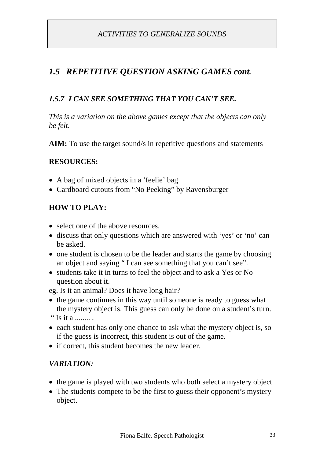# *1.5 REPETITIVE QUESTION ASKING GAMES cont.*

## *1.5.7 I CAN SEE SOMETHING THAT YOU CAN'T SEE.*

*This is a variation on the above games except that the objects can only be felt.*

**AIM:** To use the target sound/s in repetitive questions and statements

#### **RESOURCES:**

- A bag of mixed objects in a 'feelie' bag
- Cardboard cutouts from "No Peeking" by Ravensburger

#### **HOW TO PLAY:**

- select one of the above resources.
- discuss that only questions which are answered with 'yes' or 'no' can be asked.
- one student is chosen to be the leader and starts the game by choosing an object and saying " I can see something that you can't see".
- students take it in turns to feel the object and to ask a Yes or No question about it.

eg. Is it an animal? Does it have long hair?

- the game continues in this way until someone is ready to guess what the mystery object is. This guess can only be done on a student's turn. " Is it a ........ .
- each student has only one chance to ask what the mystery object is, so if the guess is incorrect, this student is out of the game.
- if correct, this student becomes the new leader.

#### *VARIATION:*

- the game is played with two students who both select a mystery object.
- The students compete to be the first to guess their opponent's mystery object.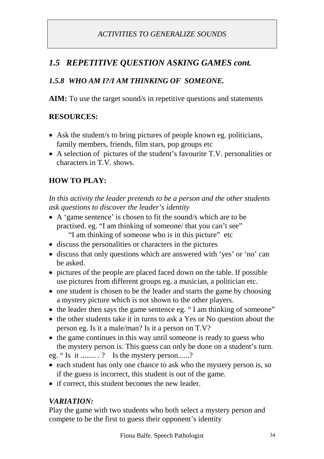# *1.5 REPETITIVE QUESTION ASKING GAMES cont.*

# *1.5.8 WHO AM I?/I AM THINKING OF SOMEONE.*

**AIM:** To use the target sound/s in repetitive questions and statements

#### **RESOURCES:**

- Ask the student/s to bring pictures of people known eg. politicians, family members, friends, film stars, pop groups etc
- A selection of pictures of the student's favourite T.V. personalities or characters in T.V. shows.

# **HOW TO PLAY:**

*In this activity the leader pretends to be a person and the other students ask questions to discover the leader's identity*

- A 'game sentence' is chosen to fit the sound/s which are to be practised. eg. "I am thinking of someone/ that you can't see" "I am thinking of someone who is in this picture" etc
- discuss the personalities or characters in the pictures
- discuss that only questions which are answered with 'yes' or 'no' can be asked.
- pictures of the people are placed faced down on the table. If possible use pictures from different groups eg. a musician, a politician etc.
- one student is chosen to be the leader and starts the game by choosing a mystery picture which is not shown to the other players.
- the leader then says the game sentence eg. " I am thinking of someone"
- the other students take it in turns to ask a Yes or No question about the person eg. Is it a male/man? Is it a person on T.V?
- the game continues in this way until someone is ready to guess who the mystery person is. This guess can only be done on a student's turn.

eg. " Is it ........ . ? Is the mystery person......?

- each student has only one chance to ask who the mystery person is, so if the guess is incorrect, this student is out of the game.
- if correct, this student becomes the new leader.

# *VARIATION:*

Play the game with two students who both select a mystery person and compete to be the first to guess their opponent's identity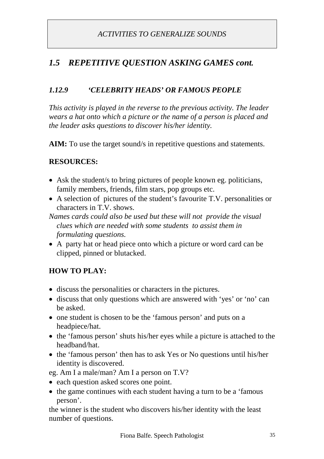# *1.12.9 'CELEBRITY HEADS' OR FAMOUS PEOPLE*

*This activity is played in the reverse to the previous activity. The leader wears a hat onto which a picture or the name of a person is placed and the leader asks questions to discover his/her identity.*

AIM: To use the target sound/s in repetitive questions and statements.

## **RESOURCES:**

- Ask the student/s to bring pictures of people known eg. politicians, family members, friends, film stars, pop groups etc.
- A selection of pictures of the student's favourite T.V. personalities or characters in T.V. shows.

*Names cards could also be used but these will not provide the visual clues which are needed with some students to assist them in formulating questions.*

 A party hat or head piece onto which a picture or word card can be clipped, pinned or blutacked.

# **HOW TO PLAY:**

- discuss the personalities or characters in the pictures.
- discuss that only questions which are answered with 'yes' or 'no' can be asked.
- one student is chosen to be the 'famous person' and puts on a headpiece/hat.
- the 'famous person' shuts his/her eyes while a picture is attached to the headband/hat.
- the 'famous person' then has to ask Yes or No questions until his/her identity is discovered.

eg. Am I a male/man? Am I a person on T.V?

- each question asked scores one point.
- the game continues with each student having a turn to be a 'famous' person'.

the winner is the student who discovers his/her identity with the least number of questions.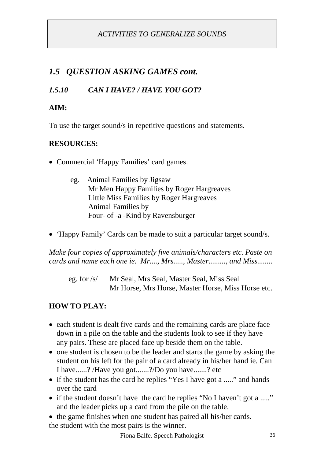# *1.5 QUESTION ASKING GAMES cont.*

# *1.5.10 CAN I HAVE? / HAVE YOU GOT?*

## **AIM:**

To use the target sound/s in repetitive questions and statements.

### **RESOURCES:**

- Commercial 'Happy Families' card games.
	- eg. Animal Families by Jigsaw Mr Men Happy Families by Roger Hargreaves Little Miss Families by Roger Hargreaves Animal Families by Four- of -a -Kind by Ravensburger
- 'Happy Family' Cards can be made to suit a particular target sound/s.

*Make four copies of approximately five animals/characters etc. Paste on cards and name each one ie. Mr...., Mrs....., Master........., and Miss........*

eg. for /s/ Mr Seal, Mrs Seal, Master Seal, Miss Seal Mr Horse, Mrs Horse, Master Horse, Miss Horse etc.

# **HOW TO PLAY:**

- each student is dealt five cards and the remaining cards are place face down in a pile on the table and the students look to see if they have any pairs. These are placed face up beside them on the table.
- one student is chosen to be the leader and starts the game by asking the student on his left for the pair of a card already in his/her hand ie. Can I have......? /Have you got.......?/Do you have.......? etc
- if the student has the card he replies "Yes I have got a ....." and hands over the card
- if the student doesn't have the card he replies "No I haven't got a ....." and the leader picks up a card from the pile on the table.
- the game finishes when one student has paired all his/her cards. the student with the most pairs is the winner.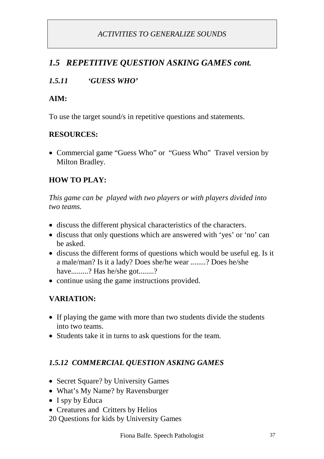# *1.5 REPETITIVE QUESTION ASKING GAMES cont.*

# *1.5.11 'GUESS WHO'*

### **AIM:**

To use the target sound/s in repetitive questions and statements.

### **RESOURCES:**

• Commercial game "Guess Who" or "Guess Who" Travel version by Milton Bradley.

# **HOW TO PLAY:**

*This game can be played with two players or with players divided into two teams.*

- discuss the different physical characteristics of the characters.
- discuss that only questions which are answered with 'yes' or 'no' can be asked.
- discuss the different forms of questions which would be useful eg. Is it a male/man? Is it a lady? Does she/he wear ........? Does he/she have.........? Has he/she got........?
- continue using the game instructions provided.

# **VARIATION:**

- If playing the game with more than two students divide the students into two teams.
- Students take it in turns to ask questions for the team.

# *1.5.12 COMMERCIAL QUESTION ASKING GAMES*

- Secret Square? by University Games
- What's My Name? by Ravensburger
- I spy by Educa
- Creatures and Critters by Helios
- 20 Questions for kids by University Games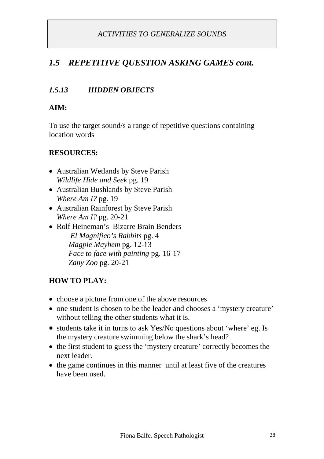# *1.5 REPETITIVE QUESTION ASKING GAMES cont.*

### *1.5.13 HIDDEN OBJECTS*

#### **AIM:**

To use the target sound/s a range of repetitive questions containing location words

#### **RESOURCES:**

- Australian Wetlands by Steve Parish *Wildlife Hide and Seek* pg. 19
- Australian Bushlands by Steve Parish *Where Am I?* pg. 19
- Australian Rainforest by Steve Parish *Where Am I?* pg. 20-21
- Rolf Heineman's Bizarre Brain Benders *El Magnifico's Rabbits* pg. 4 *Magpie Mayhem* pg. 12-13 *Face to face with painting* pg. 16-17 *Zany Zoo* pg. 20-21

#### **HOW TO PLAY:**

- choose a picture from one of the above resources
- one student is chosen to be the leader and chooses a 'mystery creature' without telling the other students what it is.
- students take it in turns to ask Yes/No questions about 'where' eg. Is the mystery creature swimming below the shark's head?
- the first student to guess the 'mystery creature' correctly becomes the next leader.
- $\bullet$  the game continues in this manner until at least five of the creatures have been used.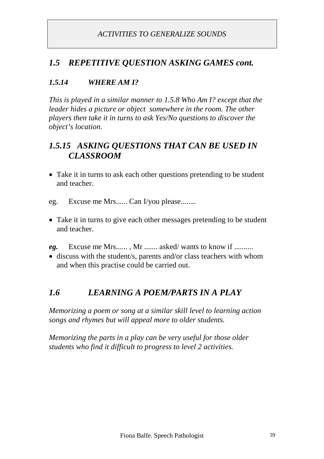# *1.5 REPETITIVE QUESTION ASKING GAMES cont.*

## *1.5.14 WHERE AM I?*

*This is played in a similar manner to 1.5.8 Who Am I? except that the leader hides a picture or object somewhere in the room. The other players then take it in turns to ask Yes/No questions to discover the object's location.*

# *1.5.15 ASKING QUESTIONS THAT CAN BE USED IN CLASSROOM*

- Take it in turns to ask each other questions pretending to be student and teacher.
- eg. Excuse me Mrs...... Can I/you please........
- Take it in turns to give each other messages pretending to be student and teacher.
- *eg.* Excuse me Mrs...... , Mr ....... asked/ wants to know if ..........
- discuss with the student/s, parents and/or class teachers with whom and when this practise could be carried out.

# *1.6 LEARNING A POEM/PARTS IN A PLAY*

*Memorizing a poem or song at a similar skill level to learning action songs and rhymes but will appeal more to older students.*

*Memorizing the parts in a play can be very useful for those older students who find it difficult to progress to level 2 activities.*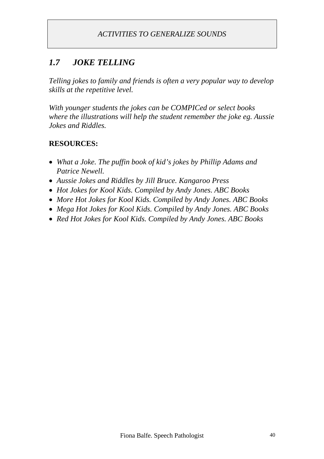# *1.7 JOKE TELLING*

*Telling jokes to family and friends is often a very popular way to develop skills at the repetitive level.*

*With younger students the jokes can be COMPICed or select books where the illustrations will help the student remember the joke eg. Aussie Jokes and Riddles.*

### **RESOURCES:**

- *What a Joke. The puffin book of kid's jokes by Phillip Adams and Patrice Newell.*
- *Aussie Jokes and Riddles by Jill Bruce. Kangaroo Press*
- *Hot Jokes for Kool Kids. Compiled by Andy Jones. ABC Books*
- *More Hot Jokes for Kool Kids. Compiled by Andy Jones. ABC Books*
- *Mega Hot Jokes for Kool Kids. Compiled by Andy Jones. ABC Books*
- *Red Hot Jokes for Kool Kids. Compiled by Andy Jones. ABC Books*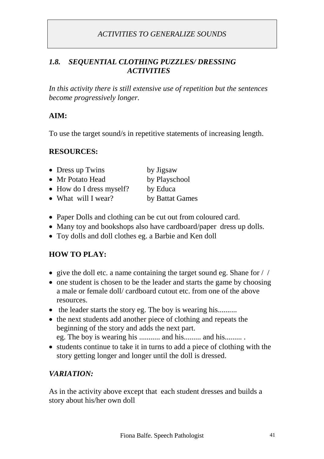#### *1.8. SEQUENTIAL CLOTHING PUZZLES/ DRESSING ACTIVITIES*

*In this activity there is still extensive use of repetition but the sentences become progressively longer.*

### **AIM:**

To use the target sound/s in repetitive statements of increasing length.

#### **RESOURCES:**

| • Dress up Twins                 | by Jigsaw       |
|----------------------------------|-----------------|
| • Mr Potato Head                 | by Playschool   |
| $\bullet$ How do I dress myself? | by Educa        |
| • What will I wear?              | by Battat Games |

- Paper Dolls and clothing can be cut out from coloured card.
- Many toy and bookshops also have cardboard/paper dress up dolls.
- Toy dolls and doll clothes eg. a Barbie and Ken doll

### **HOW TO PLAY:**

- give the doll etc. a name containing the target sound eg. Shane for  $/ /$
- one student is chosen to be the leader and starts the game by choosing a male or female doll/ cardboard cutout etc. from one of the above resources.
- the leader starts the story eg. The boy is wearing his..........
- the next students add another piece of clothing and repeats the beginning of the story and adds the next part.

eg. The boy is wearing his ........... and his......... and his......... .

• students continue to take it in turns to add a piece of clothing with the story getting longer and longer until the doll is dressed.

### *VARIATION:*

As in the activity above except that each student dresses and builds a story about his/her own doll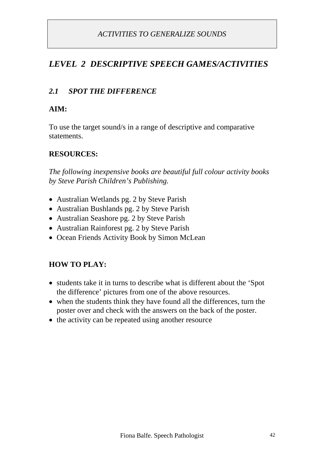# *LEVEL 2 DESCRIPTIVE SPEECH GAMES/ACTIVITIES*

### *2.1 SPOT THE DIFFERENCE*

#### **AIM:**

To use the target sound/s in a range of descriptive and comparative statements.

#### **RESOURCES:**

*The following inexpensive books are beautiful full colour activity books by Steve Parish Children's Publishing.*

- Australian Wetlands pg. 2 by Steve Parish
- Australian Bushlands pg. 2 by Steve Parish
- Australian Seashore pg. 2 by Steve Parish
- Australian Rainforest pg. 2 by Steve Parish
- Ocean Friends Activity Book by Simon McLean

#### **HOW TO PLAY:**

- students take it in turns to describe what is different about the 'Spot' the difference' pictures from one of the above resources.
- when the students think they have found all the differences, turn the poster over and check with the answers on the back of the poster.
- $\bullet$  the activity can be repeated using another resource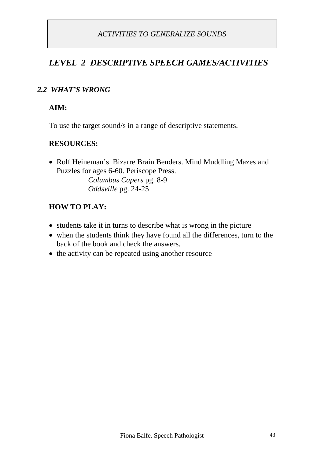# *LEVEL 2 DESCRIPTIVE SPEECH GAMES/ACTIVITIES*

#### *2.2 WHAT'S WRONG*

#### **AIM:**

To use the target sound/s in a range of descriptive statements.

#### **RESOURCES:**

• Rolf Heineman's Bizarre Brain Benders. Mind Muddling Mazes and Puzzles for ages 6-60. Periscope Press.

*Columbus Capers* pg. 8-9 *Oddsville* pg. 24-25

#### **HOW TO PLAY:**

- students take it in turns to describe what is wrong in the picture
- when the students think they have found all the differences, turn to the back of the book and check the answers.
- $\bullet$  the activity can be repeated using another resource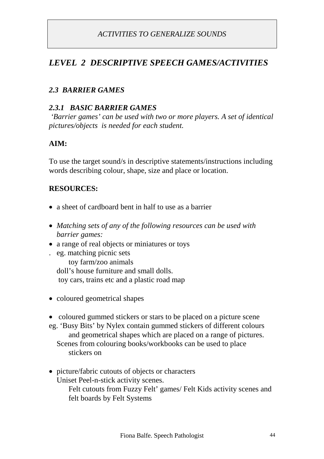# *LEVEL 2 DESCRIPTIVE SPEECH GAMES/ACTIVITIES*

### *2.3 BARRIER GAMES*

#### *2.3.1 BASIC BARRIER GAMES*

*'Barrier games' can be used with two or more players. A set of identical pictures/objects is needed for each student.*

### **AIM:**

To use the target sound/s in descriptive statements/instructions including words describing colour, shape, size and place or location.

### **RESOURCES:**

- a sheet of cardboard bent in half to use as a barrier
- *Matching sets of any of the following resources can be used with barrier games:*
- a range of real objects or miniatures or toys
- . eg. matching picnic sets toy farm/zoo animals doll's house furniture and small dolls. toy cars, trains etc and a plastic road map
- coloured geometrical shapes
- coloured gummed stickers or stars to be placed on a picture scene
- eg. 'Busy Bits' by Nylex contain gummed stickers of different colours and geometrical shapes which are placed on a range of pictures. Scenes from colouring books/workbooks can be used to place stickers on
- picture/fabric cutouts of objects or characters Uniset Peel-n-stick activity scenes. Felt cutouts from Fuzzy Felt' games/ Felt Kids activity scenes and felt boards by Felt Systems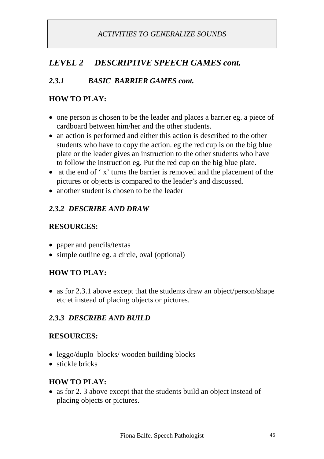# *LEVEL 2 DESCRIPTIVE SPEECH GAMES cont.*

# *2.3.1 BASIC BARRIER GAMES cont.*

# **HOW TO PLAY:**

- one person is chosen to be the leader and places a barrier eg. a piece of cardboard between him/her and the other students.
- an action is performed and either this action is described to the other students who have to copy the action. eg the red cup is on the big blue plate or the leader gives an instruction to the other students who have to follow the instruction eg. Put the red cup on the big blue plate.
- at the end of 'x' turns the barrier is removed and the placement of the pictures or objects is compared to the leader's and discussed.
- another student is chosen to be the leader

### *2.3.2 DESCRIBE AND DRAW*

### **RESOURCES:**

- paper and pencils/textas
- simple outline eg. a circle, oval (optional)

# **HOW TO PLAY:**

• as for 2.3.1 above except that the students draw an object/person/shape etc et instead of placing objects or pictures.

### *2.3.3 DESCRIBE AND BUILD*

### **RESOURCES:**

- leggo/duplo blocks/ wooden building blocks
- stickle bricks

### **HOW TO PLAY:**

• as for 2. 3 above except that the students build an object instead of placing objects or pictures.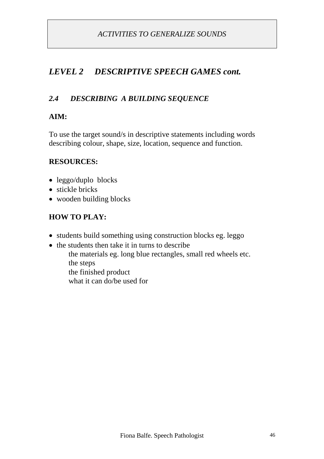# *LEVEL 2 DESCRIPTIVE SPEECH GAMES cont.*

### *2.4 DESCRIBING A BUILDING SEQUENCE*

#### **AIM:**

To use the target sound/s in descriptive statements including words describing colour, shape, size, location, sequence and function.

#### **RESOURCES:**

- leggo/duplo blocks
- stickle bricks
- wooden building blocks

#### **HOW TO PLAY:**

- students build something using construction blocks eg. leggo
- the students then take it in turns to describe the materials eg. long blue rectangles, small red wheels etc. the steps the finished product what it can do/be used for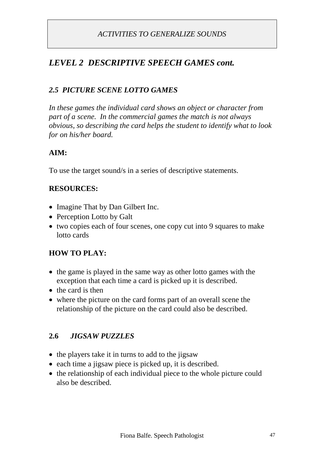# *LEVEL 2 DESCRIPTIVE SPEECH GAMES cont.*

## *2.5 PICTURE SCENE LOTTO GAMES*

*In these games the individual card shows an object or character from part of a scene. In the commercial games the match is not always obvious, so describing the card helps the student to identify what to look for on his/her board.*

### **AIM:**

To use the target sound/s in a series of descriptive statements.

#### **RESOURCES:**

- Imagine That by Dan Gilbert Inc.
- Perception Lotto by Galt
- two copies each of four scenes, one copy cut into 9 squares to make lotto cards

#### **HOW TO PLAY:**

- the game is played in the same way as other lotto games with the exception that each time a card is picked up it is described.
- $\bullet$  the card is then
- where the picture on the card forms part of an overall scene the relationship of the picture on the card could also be described.

#### **2.6** *JIGSAW PUZZLES*

- the players take it in turns to add to the jigsaw
- each time a jigsaw piece is picked up, it is described.
- the relationship of each individual piece to the whole picture could also be described.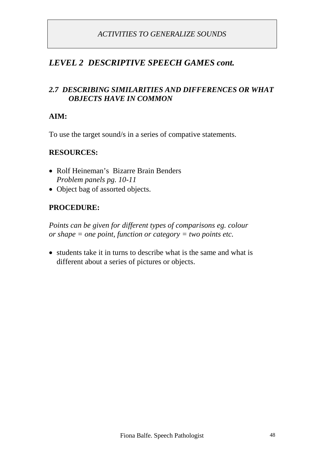## *LEVEL 2 DESCRIPTIVE SPEECH GAMES cont.*

### *2.7 DESCRIBING SIMILARITIES AND DIFFERENCES OR WHAT OBJECTS HAVE IN COMMON*

#### **AIM:**

To use the target sound/s in a series of compative statements.

#### **RESOURCES:**

- Rolf Heineman's Bizarre Brain Benders *Problem panels pg. 10-11*
- Object bag of assorted objects.

#### **PROCEDURE:**

*Points can be given for different types of comparisons eg. colour or shape = one point, function or category = two points etc.*

• students take it in turns to describe what is the same and what is different about a series of pictures or objects.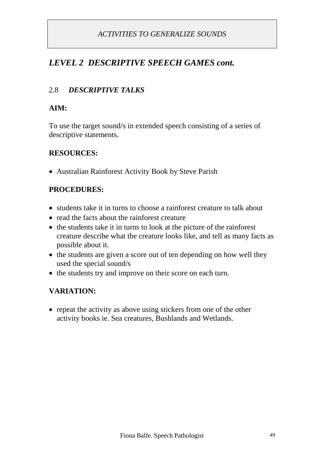# *LEVEL 2 DESCRIPTIVE SPEECH GAMES cont.*

## 2.8 *DESCRIPTIVE TALKS*

#### **AIM:**

To use the target sound/s in extended speech consisting of a series of descriptive statements.

#### **RESOURCES:**

Australian Rainforest Activity Book by Steve Parish

### **PROCEDURES:**

- students take it in turns to choose a rainforest creature to talk about
- read the facts about the rainforest creature
- the students take it in turns to look at the picture of the rainforest creature describe what the creature looks like, and tell as many facts as possible about it.
- the students are given a score out of ten depending on how well they used the special sound/s
- the students try and improve on their score on each turn.

### **VARIATION:**

• repeat the activity as above using stickers from one of the other activity books ie. Sea creatures, Bushlands and Wetlands.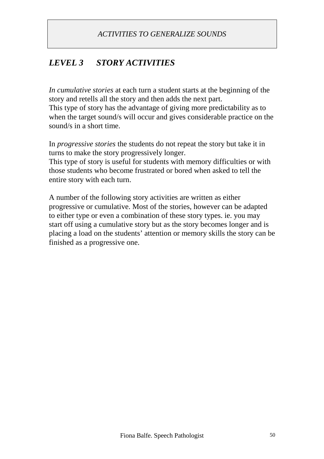# *LEVEL 3 STORY ACTIVITIES*

*In cumulative stories* at each turn a student starts at the beginning of the story and retells all the story and then adds the next part. This type of story has the advantage of giving more predictability as to when the target sound/s will occur and gives considerable practice on the sound/s in a short time.

In *progressive stories* the students do not repeat the story but take it in turns to make the story progressively longer.

This type of story is useful for students with memory difficulties or with those students who become frustrated or bored when asked to tell the entire story with each turn.

A number of the following story activities are written as either progressive or cumulative. Most of the stories, however can be adapted to either type or even a combination of these story types. ie. you may start off using a cumulative story but as the story becomes longer and is placing a load on the students' attention or memory skills the story can be finished as a progressive one.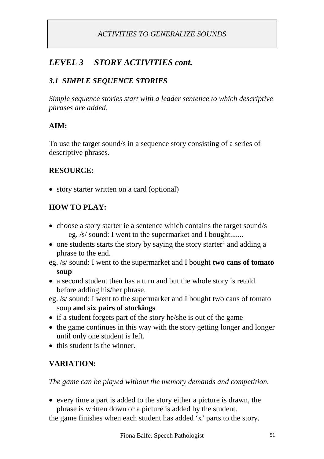# *LEVEL 3 STORY ACTIVITIES cont.*

### *3.1 SIMPLE SEQUENCE STORIES*

*Simple sequence stories start with a leader sentence to which descriptive phrases are added.*

### **AIM:**

To use the target sound/s in a sequence story consisting of a series of descriptive phrases.

### **RESOURCE:**

• story starter written on a card (optional)

# **HOW TO PLAY:**

- choose a story starter ie a sentence which contains the target sound/s eg. /s/ sound: I went to the supermarket and I bought.......
- one students starts the story by saying the story starter' and adding a phrase to the end.
- eg. /s/ sound: I went to the supermarket and I bought **two cans of tomato soup**
- a second student then has a turn and but the whole story is retold before adding his/her phrase.
- eg. /s/ sound: I went to the supermarket and I bought two cans of tomato soup **and six pairs of stockings**
- if a student forgets part of the story he/she is out of the game
- $\bullet$  the game continues in this way with the story getting longer and longer until only one student is left.
- $\bullet$  this student is the winner.

# **VARIATION:**

*The game can be played without the memory demands and competition.*

 every time a part is added to the story either a picture is drawn, the phrase is written down or a picture is added by the student.

the game finishes when each student has added 'x' parts to the story.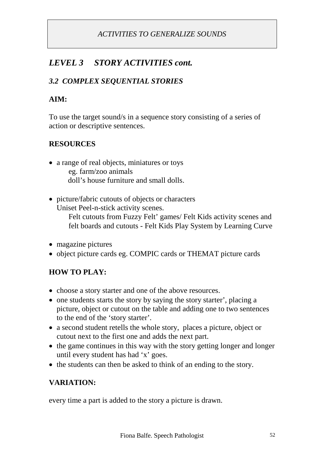# *LEVEL 3 STORY ACTIVITIES cont.*

## *3.2 COMPLEX SEQUENTIAL STORIES*

### **AIM:**

To use the target sound/s in a sequence story consisting of a series of action or descriptive sentences.

### **RESOURCES**

- a range of real objects, miniatures or toys eg. farm/zoo animals doll's house furniture and small dolls.
- picture/fabric cutouts of objects or characters Uniset Peel-n-stick activity scenes.

Felt cutouts from Fuzzy Felt' games/ Felt Kids activity scenes and felt boards and cutouts - Felt Kids Play System by Learning Curve

- magazine pictures
- object picture cards eg. COMPIC cards or THEMAT picture cards

### **HOW TO PLAY:**

- choose a story starter and one of the above resources.
- one students starts the story by saying the story starter', placing a picture, object or cutout on the table and adding one to two sentences to the end of the 'story starter'.
- a second student retells the whole story, places a picture, object or cutout next to the first one and adds the next part.
- $\bullet$  the game continues in this way with the story getting longer and longer until every student has had 'x' goes.
- the students can then be asked to think of an ending to the story.

### **VARIATION:**

every time a part is added to the story a picture is drawn.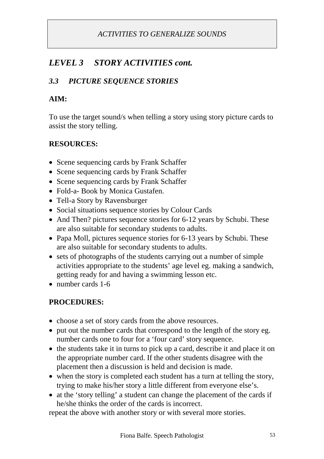# *LEVEL 3 STORY ACTIVITIES cont.*

## *3.3 PICTURE SEQUENCE STORIES*

### **AIM:**

To use the target sound/s when telling a story using story picture cards to assist the story telling.

### **RESOURCES:**

- Scene sequencing cards by Frank Schaffer
- Scene sequencing cards by Frank Schaffer
- Scene sequencing cards by Frank Schaffer
- Fold-a- Book by Monica Gustafen.
- Tell-a Story by Ravensburger
- Social situations sequence stories by Colour Cards
- And Then? pictures sequence stories for 6-12 years by Schubi. These are also suitable for secondary students to adults.
- Papa Moll, pictures sequence stories for 6-13 years by Schubi. These are also suitable for secondary students to adults.
- sets of photographs of the students carrying out a number of simple activities appropriate to the students' age level eg. making a sandwich, getting ready for and having a swimming lesson etc.
- number cards 1-6

### **PROCEDURES:**

- choose a set of story cards from the above resources.
- put out the number cards that correspond to the length of the story eg. number cards one to four for a 'four card' story sequence.
- the students take it in turns to pick up a card, describe it and place it on the appropriate number card. If the other students disagree with the placement then a discussion is held and decision is made.
- when the story is completed each student has a turn at telling the story, trying to make his/her story a little different from everyone else's.
- at the 'story telling' a student can change the placement of the cards if he/she thinks the order of the cards is incorrect.

repeat the above with another story or with several more stories.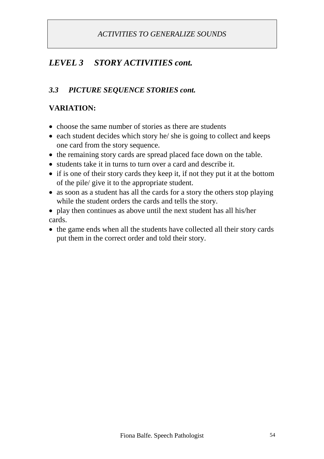# *LEVEL 3 STORY ACTIVITIES cont.*

### *3.3 PICTURE SEQUENCE STORIES cont.*

### **VARIATION:**

- choose the same number of stories as there are students
- $\bullet$  each student decides which story he/ she is going to collect and keeps one card from the story sequence.
- the remaining story cards are spread placed face down on the table.
- students take it in turns to turn over a card and describe it.
- if is one of their story cards they keep it, if not they put it at the bottom of the pile/ give it to the appropriate student.
- as soon as a student has all the cards for a story the others stop playing while the student orders the cards and tells the story.
- play then continues as above until the next student has all his/her cards.
- the game ends when all the students have collected all their story cards put them in the correct order and told their story.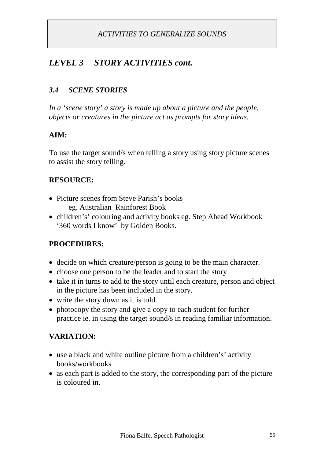# *LEVEL 3 STORY ACTIVITIES cont.*

### *3.4 SCENE STORIES*

*In a 'scene story' a story is made up about a picture and the people, objects or creatures in the picture act as prompts for story ideas.*

### **AIM:**

To use the target sound/s when telling a story using story picture scenes to assist the story telling.

#### **RESOURCE:**

- Picture scenes from Steve Parish's books eg. Australian Rainforest Book
- children's' colouring and activity books eg. Step Ahead Workbook '360 words I know' by Golden Books.

#### **PROCEDURES:**

- decide on which creature/person is going to be the main character.
- choose one person to be the leader and to start the story
- take it in turns to add to the story until each creature, person and object in the picture has been included in the story.
- write the story down as it is told.
- photocopy the story and give a copy to each student for further practice ie. in using the target sound/s in reading familiar information.

#### **VARIATION:**

- use a black and white outline picture from a children's' activity books/workbooks
- as each part is added to the story, the corresponding part of the picture is coloured in.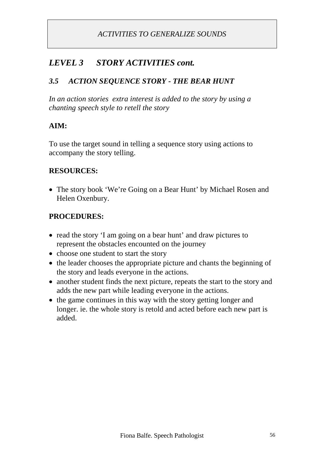# *LEVEL 3 STORY ACTIVITIES cont.*

### *3.5 ACTION SEQUENCE STORY - THE BEAR HUNT*

*In an action stories extra interest is added to the story by using a chanting speech style to retell the story*

### **AIM:**

To use the target sound in telling a sequence story using actions to accompany the story telling.

### **RESOURCES:**

 The story book 'We're Going on a Bear Hunt' by Michael Rosen and Helen Oxenbury.

### **PROCEDURES:**

- read the story 'I am going on a bear hunt' and draw pictures to represent the obstacles encounted on the journey
- choose one student to start the story
- the leader chooses the appropriate picture and chants the beginning of the story and leads everyone in the actions.
- another student finds the next picture, repeats the start to the story and adds the new part while leading everyone in the actions.
- the game continues in this way with the story getting longer and longer. ie. the whole story is retold and acted before each new part is added.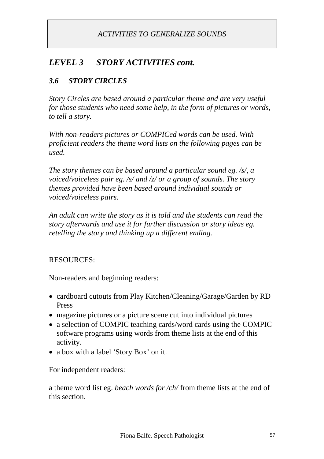# *LEVEL 3 STORY ACTIVITIES cont.*

### *3.6 STORY CIRCLES*

*Story Circles are based around a particular theme and are very useful for those students who need some help, in the form of pictures or words, to tell a story.*

*With non-readers pictures or COMPICed words can be used. With proficient readers the theme word lists on the following pages can be used.*

*The story themes can be based around a particular sound eg. /s/, a voiced/voiceless pair eg. /s/ and /z/ or a group of sounds. The story themes provided have been based around individual sounds or voiced/voiceless pairs.*

*An adult can write the story as it is told and the students can read the story afterwards and use it for further discussion or story ideas eg. retelling the story and thinking up a different ending.*

#### RESOURCES:

Non-readers and beginning readers:

- cardboard cutouts from Play Kitchen/Cleaning/Garage/Garden by RD Press
- magazine pictures or a picture scene cut into individual pictures
- a selection of COMPIC teaching cards/word cards using the COMPIC software programs using words from theme lists at the end of this activity.
- a box with a label 'Story Box' on it.

For independent readers:

a theme word list eg. *beach words for /ch/* from theme lists at the end of this section.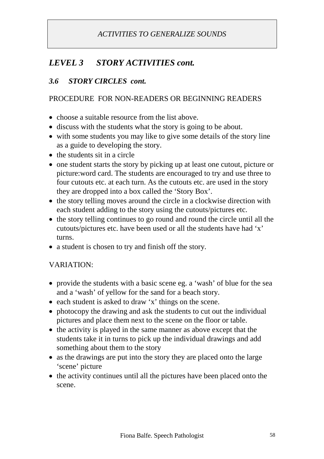# *LEVEL 3 STORY ACTIVITIES cont.*

### *3.6 STORY CIRCLES cont.*

### PROCEDURE FOR NON-READERS OR BEGINNING READERS

- choose a suitable resource from the list above.
- discuss with the students what the story is going to be about.
- with some students you may like to give some details of the story line as a guide to developing the story.
- the students sit in a circle
- one student starts the story by picking up at least one cutout, picture or picture:word card. The students are encouraged to try and use three to four cutouts etc. at each turn. As the cutouts etc. are used in the story they are dropped into a box called the 'Story Box'.
- the story telling moves around the circle in a clockwise direction with each student adding to the story using the cutouts/pictures etc.
- the story telling continues to go round and round the circle until all the cutouts/pictures etc. have been used or all the students have had 'x' turns.
- a student is chosen to try and finish off the story.

#### VARIATION:

- provide the students with a basic scene eg. a 'wash' of blue for the sea and a 'wash' of yellow for the sand for a beach story.
- each student is asked to draw 'x' things on the scene.
- photocopy the drawing and ask the students to cut out the individual pictures and place them next to the scene on the floor or table.
- the activity is played in the same manner as above except that the students take it in turns to pick up the individual drawings and add something about them to the story
- as the drawings are put into the story they are placed onto the large 'scene' picture
- the activity continues until all the pictures have been placed onto the scene.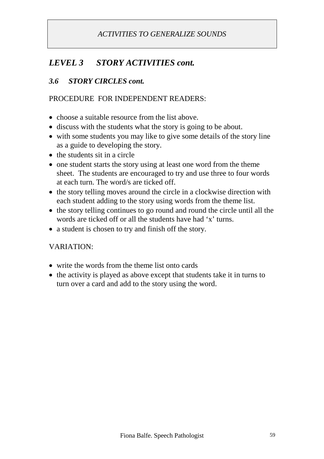# *LEVEL 3 STORY ACTIVITIES cont.*

### *3.6 STORY CIRCLES cont.*

#### PROCEDURE FOR INDEPENDENT READERS:

- choose a suitable resource from the list above.
- discuss with the students what the story is going to be about.
- with some students you may like to give some details of the story line as a guide to developing the story.
- the students sit in a circle
- one student starts the story using at least one word from the theme sheet. The students are encouraged to try and use three to four words at each turn. The word/s are ticked off.
- the story telling moves around the circle in a clockwise direction with each student adding to the story using words from the theme list.
- the story telling continues to go round and round the circle until all the words are ticked off or all the students have had 'x' turns.
- a student is chosen to try and finish off the story.

#### VARIATION:

- write the words from the theme list onto cards
- the activity is played as above except that students take it in turns to turn over a card and add to the story using the word.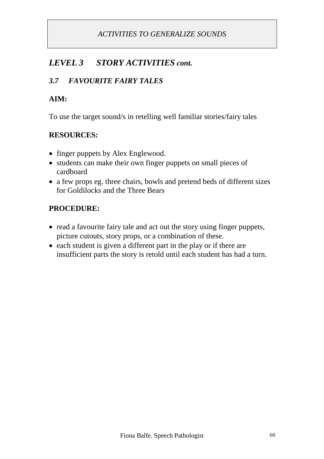# *LEVEL 3 STORY ACTIVITIES cont.*

### *3.7 FAVOURITE FAIRY TALES*

#### **AIM:**

To use the target sound/s in retelling well familiar stories/fairy tales

### **RESOURCES:**

- finger puppets by Alex Englewood.
- students can make their own finger puppets on small pieces of cardboard
- a few props eg. three chairs, bowls and pretend beds of different sizes for Goldilocks and the Three Bears

### **PROCEDURE:**

- read a favourite fairy tale and act out the story using finger puppets, picture cutouts, story props, or a combination of these.
- each student is given a different part in the play or if there are insufficient parts the story is retold until each student has had a turn.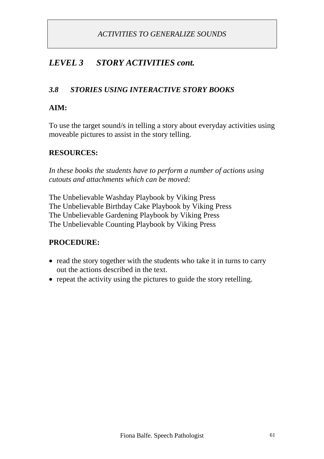# *LEVEL 3 STORY ACTIVITIES cont.*

### *3.8 STORIES USING INTERACTIVE STORY BOOKS*

#### **AIM:**

To use the target sound/s in telling a story about everyday activities using moveable pictures to assist in the story telling.

#### **RESOURCES:**

*In these books the students have to perform a number of actions using cutouts and attachments which can be moved:*

The Unbelievable Washday Playbook by Viking Press The Unbelievable Birthday Cake Playbook by Viking Press The Unbelievable Gardening Playbook by Viking Press The Unbelievable Counting Playbook by Viking Press

#### **PROCEDURE:**

- read the story together with the students who take it in turns to carry out the actions described in the text.
- repeat the activity using the pictures to guide the story retelling.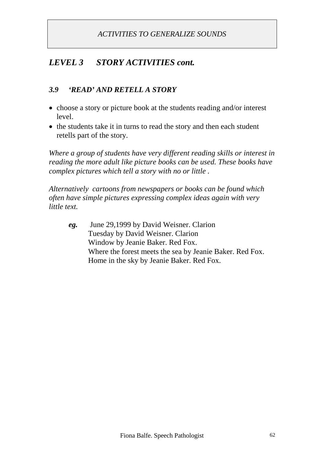# *LEVEL 3 STORY ACTIVITIES cont.*

### *3.9 'READ' AND RETELL A STORY*

- choose a story or picture book at the students reading and/or interest level.
- the students take it in turns to read the story and then each student retells part of the story.

*Where a group of students have very different reading skills or interest in reading the more adult like picture books can be used. These books have complex pictures which tell a story with no or little .*

*Alternatively cartoons from newspapers or books can be found which often have simple pictures expressing complex ideas again with very little text.*

*eg.* June 29,1999 by David Weisner. Clarion Tuesday by David Weisner. Clarion Window by Jeanie Baker. Red Fox. Where the forest meets the sea by Jeanie Baker. Red Fox. Home in the sky by Jeanie Baker. Red Fox.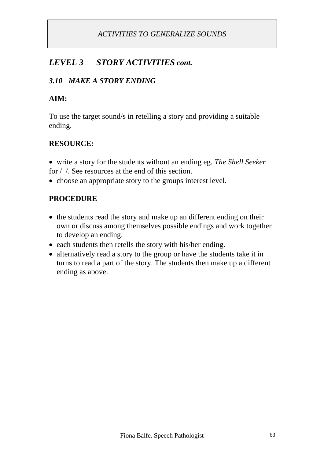# *LEVEL 3 STORY ACTIVITIES cont.*

### *3.10 MAKE A STORY ENDING*

#### **AIM:**

To use the target sound/s in retelling a story and providing a suitable ending.

### **RESOURCE:**

 write a story for the students without an ending eg. *The Shell Seeker* for / /. See resources at the end of this section.

• choose an appropriate story to the groups interest level.

### **PROCEDURE**

- the students read the story and make up an different ending on their own or discuss among themselves possible endings and work together to develop an ending.
- each students then retells the story with his/her ending.
- alternatively read a story to the group or have the students take it in turns to read a part of the story. The students then make up a different ending as above.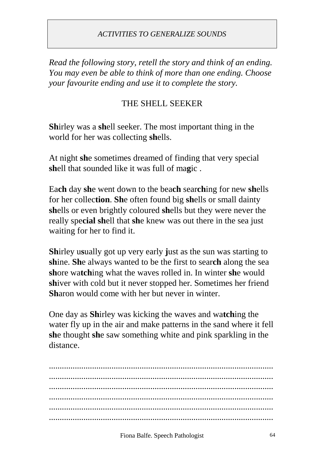*Read the following story, retell the story and think of an ending. You may even be able to think of more than one ending. Choose your favourite ending and use it to complete the story.*

# THE SHELL SEEKER

**Sh**irley was a **sh**ell seeker. The most important thing in the world for her was collecting **sh**ells.

At night **sh**e sometimes dreamed of finding that very special **sh**ell that sounded like it was full of ma**g**ic .

Ea**ch** day **sh**e went down to the bea**ch** sear**ch**ing for new **sh**ells for her collec**tion**. **Sh**e often found big **sh**ells or small dainty **sh**ells or even brightly coloured **sh**ells but they were never the really spe**cial sh**ell that **sh**e knew was out there in the sea just waiting for her to find it.

**Sh**irley u**s**ually got up very early **j**ust as the sun was starting to **sh**ine. **Sh**e always wanted to be the first to sear**ch** along the sea **sh**ore wa**tch**ing what the waves rolled in. In winter **sh**e would **sh**iver with cold but it never stopped her. Sometimes her friend **Sh**aron would come with her but never in winter.

One day as **Sh**irley was kicking the waves and wa**tch**ing the water fly up in the air and make patterns in the sand where it fell **sh**e thought **sh**e saw something white and pink sparkling in the distance.

........................................................................................................ ........................................................................................................ ........................................................................................................ ........................................................................................................ ........................................................................................................ ........................................................................................................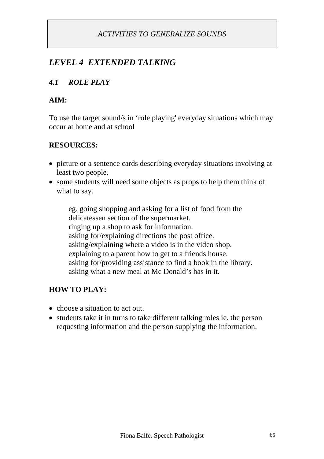# *LEVEL 4 EXTENDED TALKING*

# *4.1 ROLE PLAY*

### **AIM:**

To use the target sound/s in 'role playing' everyday situations which may occur at home and at school

### **RESOURCES:**

- picture or a sentence cards describing everyday situations involving at least two people.
- some students will need some objects as props to help them think of what to say.

eg. going shopping and asking for a list of food from the delicatessen section of the supermarket. ringing up a shop to ask for information. asking for/explaining directions the post office. asking/explaining where a video is in the video shop. explaining to a parent how to get to a friends house. asking for/providing assistance to find a book in the library. asking what a new meal at Mc Donald's has in it.

### **HOW TO PLAY:**

- choose a situation to act out.
- students take it in turns to take different talking roles ie. the person requesting information and the person supplying the information.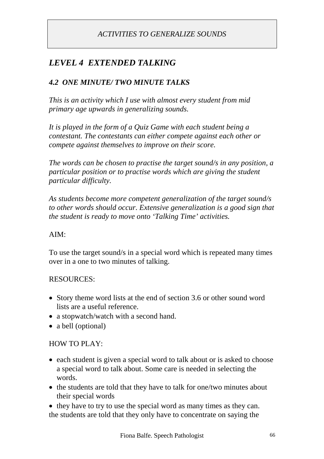# *LEVEL 4 EXTENDED TALKING*

### *4.2 ONE MINUTE/ TWO MINUTE TALKS*

*This is an activity which I use with almost every student from mid primary age upwards in generalizing sounds.*

*It is played in the form of a Quiz Game with each student being a contestant. The contestants can either compete against each other or compete against themselves to improve on their score.*

*The words can be chosen to practise the target sound/s in any position, a particular position or to practise words which are giving the student particular difficulty.*

*As students become more competent generalization of the target sound/s to other words should occur. Extensive generalization is a good sign that the student is ready to move onto 'Talking Time' activities.*

#### AIM:

To use the target sound/s in a special word which is repeated many times over in a one to two minutes of talking.

#### RESOURCES:

- Story theme word lists at the end of section 3.6 or other sound word lists are a useful reference.
- a stopwatch/watch with a second hand.
- a bell (optional)

#### HOW TO PLAY:

- each student is given a special word to talk about or is asked to choose a special word to talk about. Some care is needed in selecting the words.
- the students are told that they have to talk for one/two minutes about their special words
- they have to try to use the special word as many times as they can. the students are told that they only have to concentrate on saying the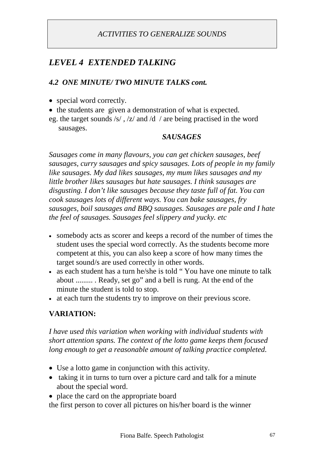# *LEVEL 4 EXTENDED TALKING*

### *4.2 ONE MINUTE/ TWO MINUTE TALKS cont.*

- special word correctly.
- the students are given a demonstration of what is expected.
- eg. the target sounds /s/ , /z/ and /d / are being practised in the word sausages.

#### *SAUSAGES*

*Sausages come in many flavours, you can get chicken sausages, beef sausages, curry sausages and spicy sausages. Lots of people in my family like sausages. My dad likes sausages, my mum likes sausages and my little brother likes sausages but hate sausages. I think sausages are disgusting. I don't like sausages because they taste full of fat. You can cook sausages lots of different ways. You can bake sausages, fry sausages, boil sausages and BBQ sausages. Sausages are pale and I hate the feel of sausages. Sausages feel slippery and yucky. etc*

- somebody acts as scorer and keeps a record of the number of times the student uses the special word correctly. As the students become more competent at this, you can also keep a score of how many times the target sound/s are used correctly in other words.
- as each student has a turn he/she is told " You have one minute to talk about ......... . Ready, set go" and a bell is rung. At the end of the minute the student is told to stop.
- at each turn the students try to improve on their previous score.

### **VARIATION:**

*I have used this variation when working with individual students with short attention spans. The context of the lotto game keeps them focused long enough to get a reasonable amount of talking practice completed.*

- Use a lotto game in conjunction with this activity.
- taking it in turns to turn over a picture card and talk for a minute about the special word.
- place the card on the appropriate board

the first person to cover all pictures on his/her board is the winner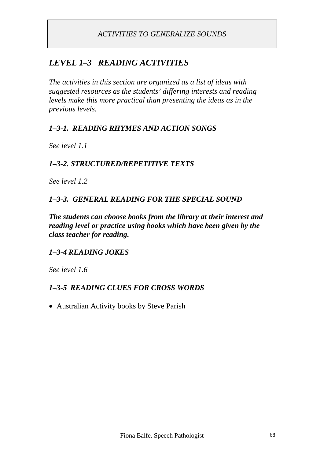# *LEVEL 1–3 READING ACTIVITIES*

*The activities in this section are organized as a list of ideas with suggested resources as the students' differing interests and reading levels make this more practical than presenting the ideas as in the previous levels.*

### *1–3-1. READING RHYMES AND ACTION SONGS*

*See level 1.1*

### *1–3-2. STRUCTURED/REPETITIVE TEXTS*

*See level 1.2*

### *1–3-3. GENERAL READING FOR THE SPECIAL SOUND*

*The students can choose books from the library at their interest and reading level or practice using books which have been given by the class teacher for reading.*

#### *1–3-4 READING JOKES*

*See level 1.6*

#### *1–3-5 READING CLUES FOR CROSS WORDS*

Australian Activity books by Steve Parish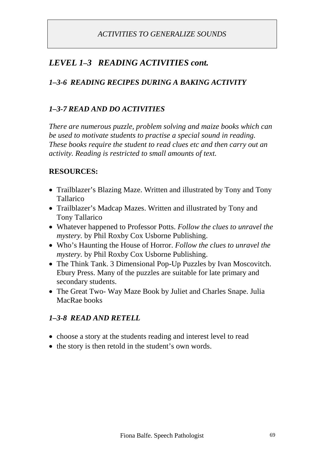# *LEVEL 1–3 READING ACTIVITIES cont.*

# *1–3-6 READING RECIPES DURING A BAKING ACTIVITY*

### *1–3-7 READ AND DO ACTIVITIES*

*There are numerous puzzle, problem solving and maize books which can be used to motivate students to practise a special sound in reading. These books require the student to read clues etc and then carry out an activity. Reading is restricted to small amounts of text.*

### **RESOURCES:**

- Trailblazer's Blazing Maze. Written and illustrated by Tony and Tony Tallarico
- Trailblazer's Madcap Mazes. Written and illustrated by Tony and Tony Tallarico
- Whatever happened to Professor Potts. *Follow the clues to unravel the mystery.* by Phil Roxby Cox Usborne Publishing.
- Who's Haunting the House of Horror. *Follow the clues to unravel the mystery.* by Phil Roxby Cox Usborne Publishing.
- The Think Tank. 3 Dimensional Pop-Up Puzzles by Ivan Moscovitch. Ebury Press. Many of the puzzles are suitable for late primary and secondary students.
- The Great Two- Way Maze Book by Juliet and Charles Snape. Julia MacRae books

#### *1–3-8 READ AND RETELL*

- choose a story at the students reading and interest level to read
- the story is then retold in the student's own words.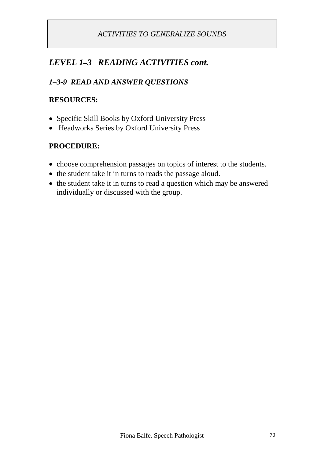# *LEVEL 1–3 READING ACTIVITIES cont.*

# *1–3-9 READ AND ANSWER QUESTIONS*

#### **RESOURCES:**

- Specific Skill Books by Oxford University Press
- Headworks Series by Oxford University Press

#### **PROCEDURE:**

- choose comprehension passages on topics of interest to the students.
- the student take it in turns to reads the passage aloud.
- the student take it in turns to read a question which may be answered individually or discussed with the group.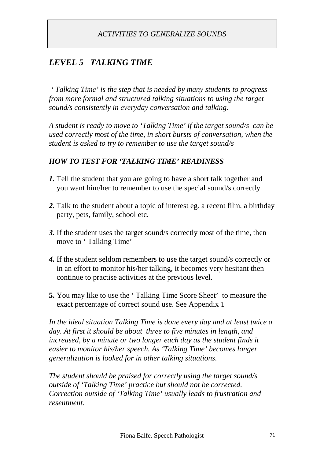# *LEVEL 5 TALKING TIME*

*' Talking Time' is the step that is needed by many students to progress from more formal and structured talking situations to using the target sound/s consistently in everyday conversation and talking.*

*A student is ready to move to 'Talking Time' if the target sound/s can be used correctly most of the time, in short bursts of conversation, when the student is asked to try to remember to use the target sound/s*

### *HOW TO TEST FOR 'TALKING TIME' READINESS*

- *1.* Tell the student that you are going to have a short talk together and you want him/her to remember to use the special sound/s correctly.
- *2.* Talk to the student about a topic of interest eg. a recent film, a birthday party, pets, family, school etc.
- *3.* If the student uses the target sound/s correctly most of the time, then move to ' Talking Time'
- *4.* If the student seldom remembers to use the target sound/s correctly or in an effort to monitor his/her talking, it becomes very hesitant then continue to practise activities at the previous level.
- **5.** You may like to use the ' Talking Time Score Sheet' to measure the exact percentage of correct sound use. See Appendix 1

*In the ideal situation Talking Time is done every day and at least twice a day. At first it should be about three to five minutes in length, and increased, by a minute or two longer each day as the student finds it easier to monitor his/her speech. As 'Talking Time' becomes longer generalization is looked for in other talking situations.*

*The student should be praised for correctly using the target sound/s outside of 'Talking Time' practice but should not be corrected. Correction outside of 'Talking Time' usually leads to frustration and resentment.*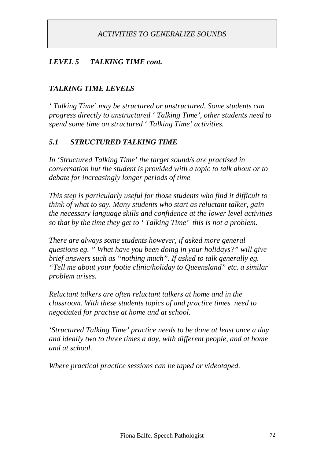#### *LEVEL 5 TALKING TIME cont.*

#### *TALKING TIME LEVELS*

*' Talking Time' may be structured or unstructured. Some students can progress directly to unstructured ' Talking Time', other students need to spend some time on structured* ' *Talking Time' activities.*

#### *5.1 STRUCTURED TALKING TIME*

*In 'Structured Talking Time' the target sound/s are practised in conversation but the student is provided with a topic to talk about or to debate for increasingly longer periods of time*

*This step is particularly useful for those students who find it difficult to think of what to say. Many students who start as reluctant talker, gain the necessary language skills and confidence at the lower level activities so that by the time they get to ' Talking Time' this is not a problem.*

*There are always some students however, if asked more general questions eg. " What have you been doing in your holidays?" will give brief answers such as "nothing much". If asked to talk generally eg. "Tell me about your footie clinic/holiday to Queensland" etc. a similar problem arises.*

*Reluctant talkers are often reluctant talkers at home and in the classroom. With these students topics of and practice times need to negotiated for practise at home and at school.*

*'Structured Talking Time' practice needs to be done at least once a day and ideally two to three times a day, with different people, and at home and at school.*

*Where practical practice sessions can be taped or videotaped.*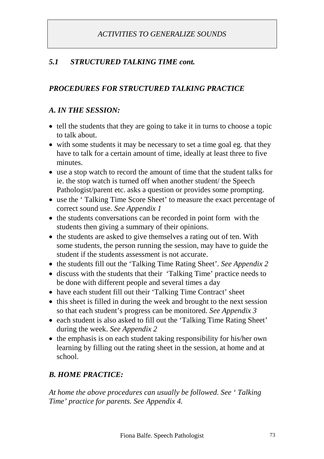## *5.1 STRUCTURED TALKING TIME cont.*

### *PROCEDURES FOR STRUCTURED TALKING PRACTICE*

#### *A. IN THE SESSION:*

- tell the students that they are going to take it in turns to choose a topic to talk about.
- with some students it may be necessary to set a time goal eg. that they have to talk for a certain amount of time, ideally at least three to five minutes.
- use a stop watch to record the amount of time that the student talks for ie. the stop watch is turned off when another student/ the Speech Pathologist/parent etc. asks a question or provides some prompting.
- use the ' Talking Time Score Sheet' to measure the exact percentage of correct sound use. *See Appendix 1*
- the students conversations can be recorded in point form with the students then giving a summary of their opinions.
- the students are asked to give themselves a rating out of ten. With some students, the person running the session, may have to guide the student if the students assessment is not accurate.
- the students fill out the 'Talking Time Rating Sheet'. *See Appendix 2*
- discuss with the students that their 'Talking Time' practice needs to be done with different people and several times a day
- have each student fill out their 'Talking Time Contract' sheet
- this sheet is filled in during the week and brought to the next session so that each student's progress can be monitored. *See Appendix 3*
- each student is also asked to fill out the 'Talking Time Rating Sheet' during the week. *See Appendix 2*
- the emphasis is on each student taking responsibility for his/her own learning by filling out the rating sheet in the session, at home and at school.

#### *B. HOME PRACTICE:*

*At home the above procedures can usually be followed. See ' Talking Time' practice for parents. See Appendix 4.*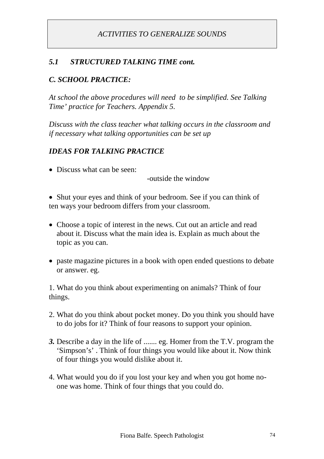### *5.1 STRUCTURED TALKING TIME cont.*

### *C. SCHOOL PRACTICE:*

*At school the above procedures will need to be simplified. See Talking Time' practice for Teachers. Appendix 5.*

*Discuss with the class teacher what talking occurs in the classroom and if necessary what talking opportunities can be set up*

#### *IDEAS FOR TALKING PRACTICE*

• Discuss what can be seen:

-outside the window

• Shut your eyes and think of your bedroom. See if you can think of ten ways your bedroom differs from your classroom.

- Choose a topic of interest in the news. Cut out an article and read about it. Discuss what the main idea is. Explain as much about the topic as you can.
- paste magazine pictures in a book with open ended questions to debate or answer. eg.

1. What do you think about experimenting on animals? Think of four things.

- 2. What do you think about pocket money. Do you think you should have to do jobs for it? Think of four reasons to support your opinion.
- *3.* Describe a day in the life of ....... eg. Homer from the T.V. program the 'Simpson's' . Think of four things you would like about it. Now think of four things you would dislike about it.
- 4. What would you do if you lost your key and when you got home noone was home. Think of four things that you could do.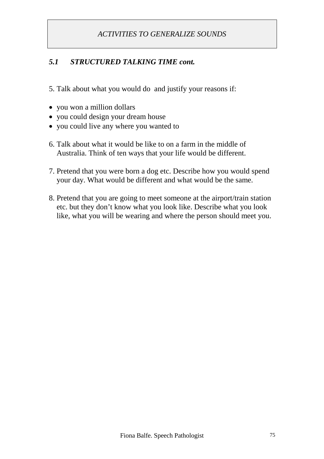## *5.1 STRUCTURED TALKING TIME cont.*

5. Talk about what you would do and justify your reasons if:

- you won a million dollars
- you could design your dream house
- you could live any where you wanted to
- 6. Talk about what it would be like to on a farm in the middle of Australia. Think of ten ways that your life would be different.
- 7. Pretend that you were born a dog etc. Describe how you would spend your day. What would be different and what would be the same.
- 8. Pretend that you are going to meet someone at the airport/train station etc. but they don't know what you look like. Describe what you look like, what you will be wearing and where the person should meet you.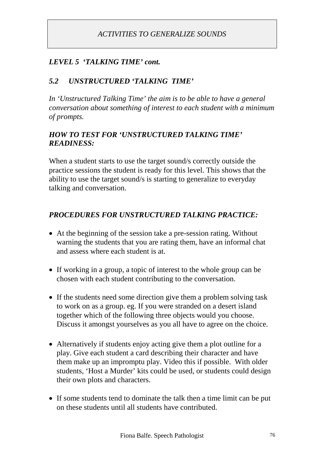### *LEVEL 5 'TALKING TIME' cont.*

#### *5.2 UNSTRUCTURED 'TALKING TIME'*

*In 'Unstructured Talking Time' the aim is to be able to have a general conversation about something of interest to each student with a minimum of prompts.*

#### *HOW TO TEST FOR 'UNSTRUCTURED TALKING TIME' READINESS:*

When a student starts to use the target sound/s correctly outside the practice sessions the student is ready for this level. This shows that the ability to use the target sound/s is starting to generalize to everyday talking and conversation.

#### *PROCEDURES FOR UNSTRUCTURED TALKING PRACTICE:*

- At the beginning of the session take a pre-session rating. Without warning the students that you are rating them, have an informal chat and assess where each student is at.
- If working in a group, a topic of interest to the whole group can be chosen with each student contributing to the conversation.
- If the students need some direction give them a problem solving task to work on as a group. eg. If you were stranded on a desert island together which of the following three objects would you choose. Discuss it amongst yourselves as you all have to agree on the choice.
- Alternatively if students enjoy acting give them a plot outline for a play. Give each student a card describing their character and have them make up an impromptu play. Video this if possible. With older students, 'Host a Murder' kits could be used, or students could design their own plots and characters.
- If some students tend to dominate the talk then a time limit can be put on these students until all students have contributed.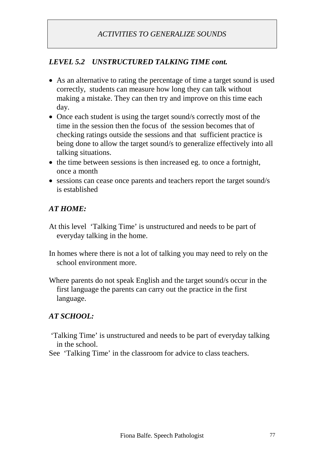## *LEVEL 5.2 UNSTRUCTURED TALKING TIME cont.*

- As an alternative to rating the percentage of time a target sound is used correctly, students can measure how long they can talk without making a mistake. They can then try and improve on this time each day.
- Once each student is using the target sound/s correctly most of the time in the session then the focus of the session becomes that of checking ratings outside the sessions and that sufficient practice is being done to allow the target sound/s to generalize effectively into all talking situations.
- the time between sessions is then increased eg. to once a fortnight, once a month
- sessions can cease once parents and teachers report the target sound/s is established

## *AT HOME:*

- At this level 'Talking Time' is unstructured and needs to be part of everyday talking in the home.
- In homes where there is not a lot of talking you may need to rely on the school environment more.
- Where parents do not speak English and the target sound/s occur in the first language the parents can carry out the practice in the first language.

## *AT SCHOOL:*

- 'Talking Time' is unstructured and needs to be part of everyday talking in the school.
- See 'Talking Time' in the classroom for advice to class teachers.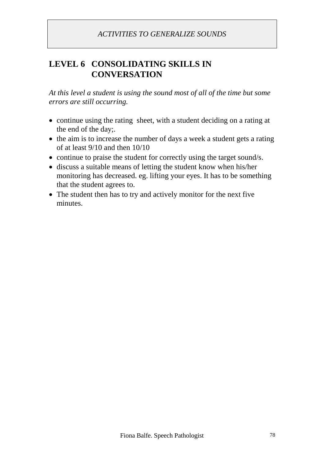## **LEVEL 6 CONSOLIDATING SKILLS IN CONVERSATION**

*At this level a student is using the sound most of all of the time but some errors are still occurring.*

- continue using the rating sheet, with a student deciding on a rating at the end of the day;.
- the aim is to increase the number of days a week a student gets a rating of at least 9/10 and then 10/10
- continue to praise the student for correctly using the target sound/s.
- discuss a suitable means of letting the student know when his/her monitoring has decreased. eg. lifting your eyes. It has to be something that the student agrees to.
- The student then has to try and actively monitor for the next five minutes.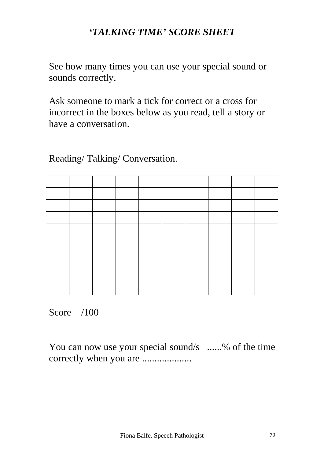## *'TALKING TIME' SCORE SHEET*

See how many times you can use your special sound or sounds correctly.

Ask someone to mark a tick for correct or a cross for incorrect in the boxes below as you read, tell a story or have a conversation.

Reading/ Talking/ Conversation.

Score /100

You can now use your special sound/s ......% of the time correctly when you are ....................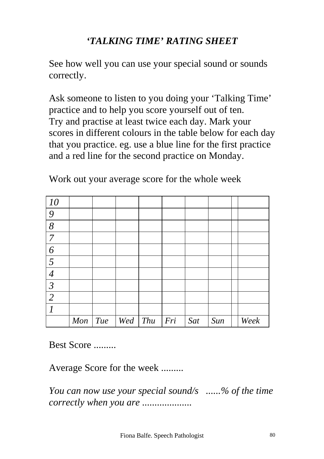# *'TALKING TIME' RATING SHEET*

See how well you can use your special sound or sounds correctly.

Ask someone to listen to you doing your 'Talking Time' practice and to help you score yourself out of ten. Try and practise at least twice each day. Mark your scores in different colours in the table below for each day that you practice. eg. use a blue line for the first practice and a red line for the second practice on Monday.

| 10                       |     |     |     |     |     |     |     |      |
|--------------------------|-----|-----|-----|-----|-----|-----|-----|------|
| 9                        |     |     |     |     |     |     |     |      |
| $\delta$                 |     |     |     |     |     |     |     |      |
| $\overline{7}$           |     |     |     |     |     |     |     |      |
| 6                        |     |     |     |     |     |     |     |      |
| $\overline{5}$           |     |     |     |     |     |     |     |      |
| $\overline{4}$           |     |     |     |     |     |     |     |      |
| $\overline{\mathcal{S}}$ |     |     |     |     |     |     |     |      |
| $\overline{2}$           |     |     |     |     |     |     |     |      |
| $\overline{I}$           |     |     |     |     |     |     |     |      |
|                          | Mon | Tue | Wed | Thu | Fri | Sat | Sun | Week |

Work out your average score for the whole week

Best Score .........

Average Score for the week .........

*You can now use your special sound/s ......% of the time correctly when you are ....................*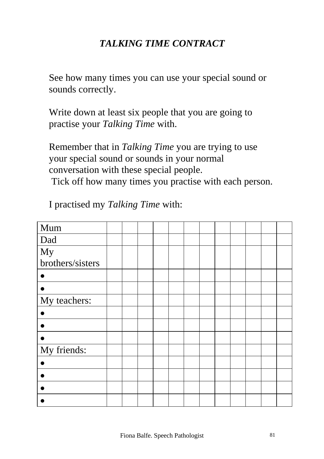## *TALKING TIME CONTRACT*

See how many times you can use your special sound or sounds correctly.

Write down at least six people that you are going to practise your *Talking Time* with.

Remember that in *Talking Time* you are trying to use your special sound or sounds in your normal conversation with these special people. Tick off how many times you practise with each person.

I practised my *Talking Time* with:

| Mum              |  |  |  |  |  |  |
|------------------|--|--|--|--|--|--|
| Dad              |  |  |  |  |  |  |
| My               |  |  |  |  |  |  |
| brothers/sisters |  |  |  |  |  |  |
|                  |  |  |  |  |  |  |
|                  |  |  |  |  |  |  |
| My teachers:     |  |  |  |  |  |  |
|                  |  |  |  |  |  |  |
|                  |  |  |  |  |  |  |
|                  |  |  |  |  |  |  |
| My friends:      |  |  |  |  |  |  |
|                  |  |  |  |  |  |  |
|                  |  |  |  |  |  |  |
|                  |  |  |  |  |  |  |
|                  |  |  |  |  |  |  |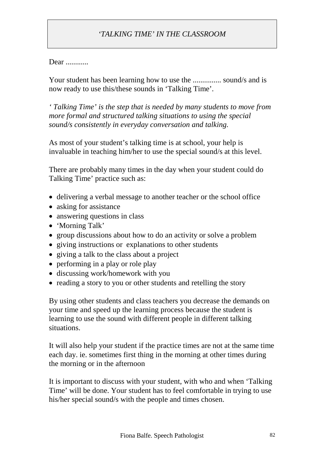## *'TALKING TIME' IN THE CLASSROOM*

#### Dear ............

Your student has been learning how to use the ................. sound/s and is now ready to use this/these sounds in 'Talking Time'.

*' Talking Time' is the step that is needed by many students to move from more formal and structured talking situations to using the special sound/s consistently in everyday conversation and talking.*

As most of your student's talking time is at school, your help is invaluable in teaching him/her to use the special sound/s at this level.

There are probably many times in the day when your student could do Talking Time' practice such as:

- delivering a verbal message to another teacher or the school office
- asking for assistance
- answering questions in class
- 'Morning Talk'
- group discussions about how to do an activity or solve a problem
- giving instructions or explanations to other students
- giving a talk to the class about a project
- performing in a play or role play
- discussing work/homework with you
- reading a story to you or other students and retelling the story

By using other students and class teachers you decrease the demands on your time and speed up the learning process because the student is learning to use the sound with different people in different talking situations.

It will also help your student if the practice times are not at the same time each day. ie. sometimes first thing in the morning at other times during the morning or in the afternoon

It is important to discuss with your student, with who and when 'Talking Time' will be done. Your student has to feel comfortable in trying to use his/her special sound/s with the people and times chosen.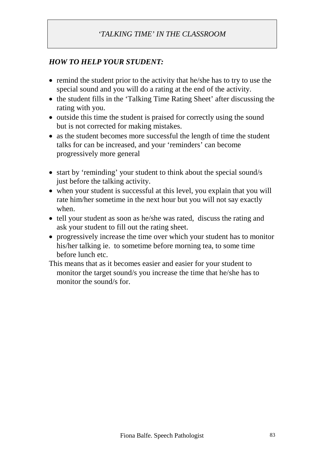## *'TALKING TIME' IN THE CLASSROOM*

#### *HOW TO HELP YOUR STUDENT:*

- remind the student prior to the activity that he/she has to try to use the special sound and you will do a rating at the end of the activity.
- the student fills in the 'Talking Time Rating Sheet' after discussing the rating with you.
- outside this time the student is praised for correctly using the sound but is not corrected for making mistakes.
- as the student becomes more successful the length of time the student talks for can be increased, and your 'reminders' can become progressively more general
- start by 'reminding' your student to think about the special sound/s just before the talking activity.
- when your student is successful at this level, you explain that you will rate him/her sometime in the next hour but you will not say exactly when.
- tell your student as soon as he/she was rated, discuss the rating and ask your student to fill out the rating sheet.
- progressively increase the time over which your student has to monitor his/her talking ie. to sometime before morning tea, to some time before lunch etc.

This means that as it becomes easier and easier for your student to monitor the target sound/s you increase the time that he/she has to monitor the sound/s for.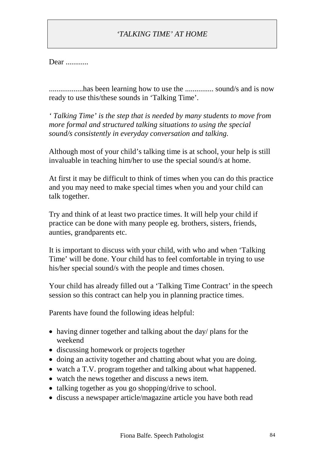## *'TALKING TIME' AT HOME*

Dear ............

..................has been learning how to use the ............... sound/s and is now ready to use this/these sounds in 'Talking Time'.

*' Talking Time' is the step that is needed by many students to move from more formal and structured talking situations to using the special sound/s consistently in everyday conversation and talking.*

Although most of your child's talking time is at school, your help is still invaluable in teaching him/her to use the special sound/s at home.

At first it may be difficult to think of times when you can do this practice and you may need to make special times when you and your child can talk together.

Try and think of at least two practice times. It will help your child if practice can be done with many people eg. brothers, sisters, friends, aunties, grandparents etc.

It is important to discuss with your child, with who and when 'Talking Time' will be done. Your child has to feel comfortable in trying to use his/her special sound/s with the people and times chosen.

Your child has already filled out a 'Talking Time Contract' in the speech session so this contract can help you in planning practice times.

Parents have found the following ideas helpful:

- having dinner together and talking about the day/ plans for the weekend
- discussing homework or projects together
- doing an activity together and chatting about what you are doing.
- watch a T.V. program together and talking about what happened.
- watch the news together and discuss a news item.
- talking together as you go shopping/drive to school.
- discuss a newspaper article/magazine article you have both read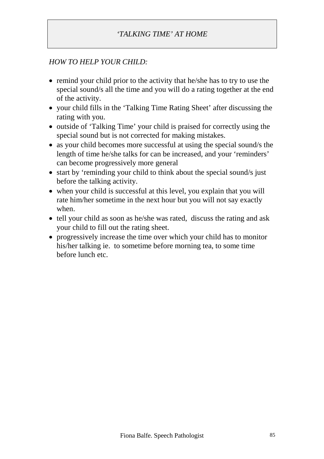## *'TALKING TIME' AT HOME*

#### *HOW TO HELP YOUR CHILD:*

- remind your child prior to the activity that he/she has to try to use the special sound/s all the time and you will do a rating together at the end of the activity.
- your child fills in the 'Talking Time Rating Sheet' after discussing the rating with you.
- outside of 'Talking Time' your child is praised for correctly using the special sound but is not corrected for making mistakes.
- as your child becomes more successful at using the special sound/s the length of time he/she talks for can be increased, and your 'reminders' can become progressively more general
- start by 'reminding your child to think about the special sound/s just before the talking activity.
- when your child is successful at this level, you explain that you will rate him/her sometime in the next hour but you will not say exactly when.
- tell your child as soon as he/she was rated, discuss the rating and ask your child to fill out the rating sheet.
- progressively increase the time over which your child has to monitor his/her talking ie. to sometime before morning tea, to some time before lunch etc.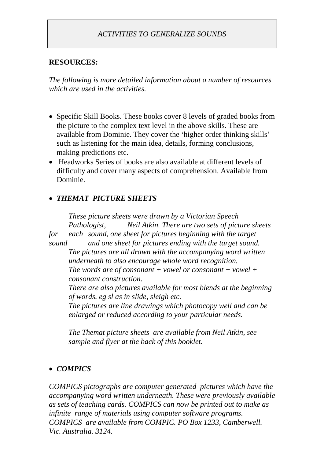#### **RESOURCES:**

*The following is more detailed information about a number of resources which are used in the activities.*

- Specific Skill Books. These books cover 8 levels of graded books from the picture to the complex text level in the above skills. These are available from Dominie. They cover the 'higher order thinking skills' such as listening for the main idea, details, forming conclusions, making predictions etc.
- Headworks Series of books are also available at different levels of difficulty and cover many aspects of comprehension. Available from Dominie.

### *THEMAT PICTURE SHEETS*

*These picture sheets were drawn by a Victorian Speech Pathologist, Neil Atkin. There are two sets of picture sheets for each sound, one sheet for pictures beginning with the target sound and one sheet for pictures ending with the target sound. The pictures are all drawn with the accompanying word written underneath to also encourage whole word recognition. The words are of consonant + vowel or consonant + vowel + consonant construction. There are also pictures available for most blends at the beginning of words. eg sl as in slide, sleigh etc. The pictures are line drawings which photocopy well and can be enlarged or reduced according to your particular needs.*

*The Themat picture sheets are available from Neil Atkin, see sample and flyer at the back of this booklet.*

### *COMPICS*

*COMPICS pictographs are computer generated pictures which have the accompanying word written underneath. These were previously available as sets of teaching cards. COMPICS can now be printed out to make as infinite range of materials using computer software programs. COMPICS are available from COMPIC. PO Box 1233, Camberwell. Vic. Australia. 3124.*